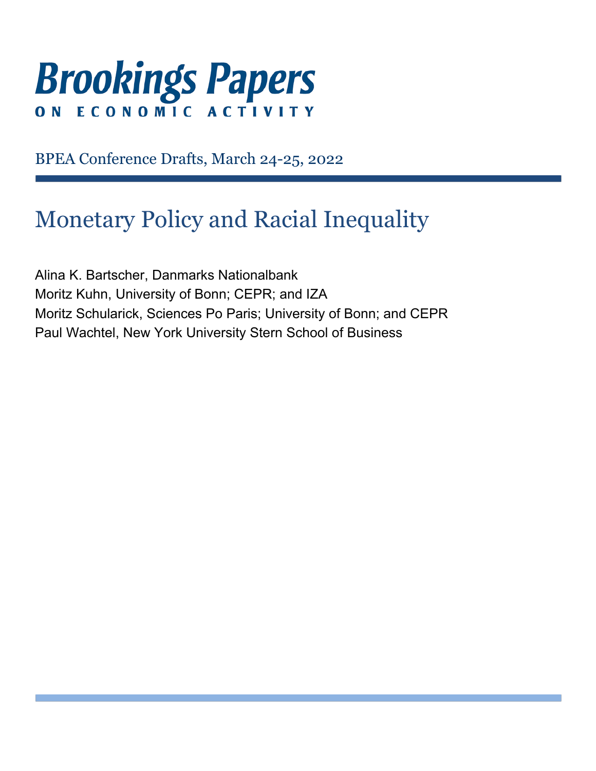# **Brookings Papers** ECONOMIC ACTIVI  $\mathbf 0 \mathbf N$

BPEA Conference Drafts, March 24-25, 2022

# Monetary Policy and Racial Inequality

Alina K. Bartscher, Danmarks Nationalbank Moritz Kuhn, University of Bonn; CEPR; and IZA Moritz Schularick, Sciences Po Paris; University of Bonn; and CEPR Paul Wachtel, New York University Stern School of Business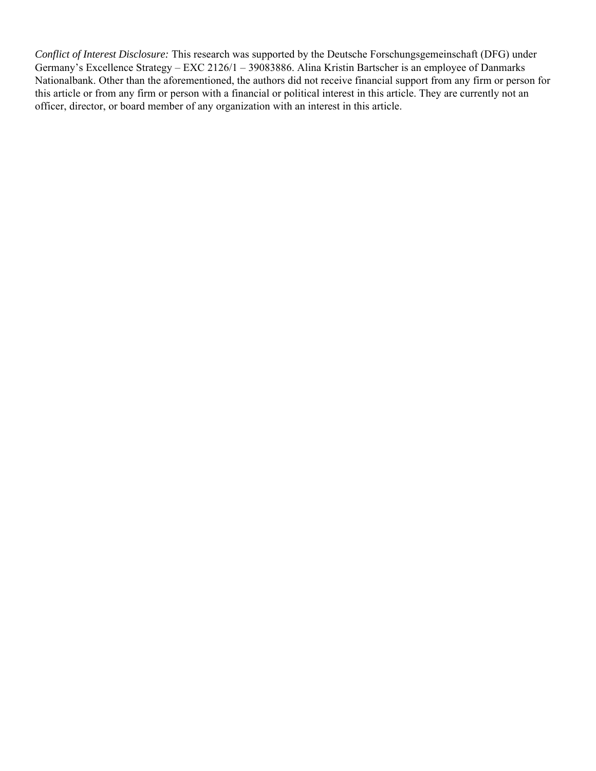*Conflict of Interest Disclosure:* This research was supported by the Deutsche Forschungsgemeinschaft (DFG) under Germany's Excellence Strategy – EXC 2126/1 – 39083886. Alina Kristin Bartscher is an employee of Danmarks Nationalbank. Other than the aforementioned, the authors did not receive financial support from any firm or person for this article or from any firm or person with a financial or political interest in this article. They are currently not an officer, director, or board member of any organization with an interest in this article.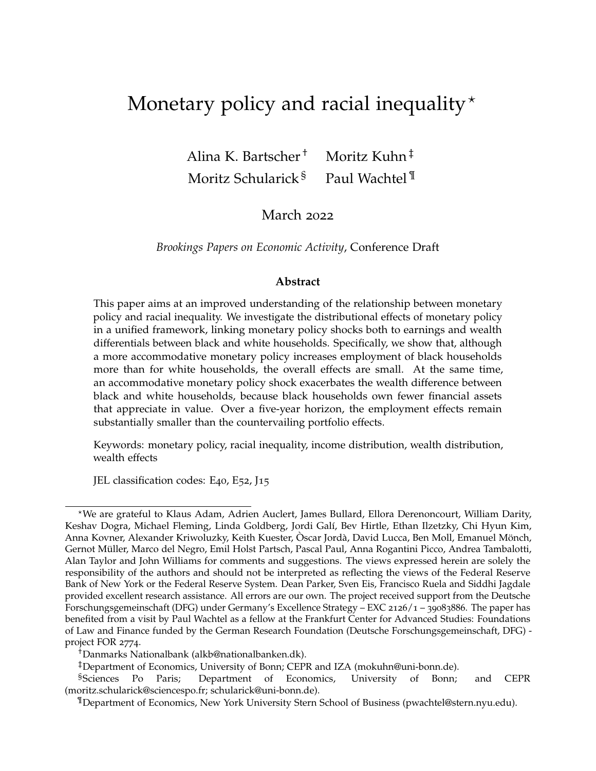# <span id="page-2-1"></span><span id="page-2-0"></span>Monetary policy and racial inequality $\star$

Alina K. Bartscher<sup>†</sup> Moritz Kuhn<sup>‡</sup> Moritz Schularick ${}^{8}$  Paul Wachtel  ${}^{9}$ 

# March 2022

*Brookings Papers on Economic Activity*, Conference Draft

#### **Abstract**

This paper aims at an improved understanding of the relationship between monetary policy and racial inequality. We investigate the distributional effects of monetary policy in a unified framework, linking monetary policy shocks both to earnings and wealth differentials between black and white households. Specifically, we show that, although a more accommodative monetary policy increases employment of black households more than for white households, the overall effects are small. At the same time, an accommodative monetary policy shock exacerbates the wealth difference between black and white households, because black households own fewer financial assets that appreciate in value. Over a five-year horizon, the employment effects remain substantially smaller than the countervailing portfolio effects.

Keywords: monetary policy, racial inequality, income distribution, wealth distribution, wealth effects

JEL classification codes: E40, E52, J15

<sup>?</sup>We are grateful to Klaus Adam, Adrien Auclert, James Bullard, Ellora Derenoncourt, William Darity, Keshav Dogra, Michael Fleming, Linda Goldberg, Jordi Gal´ı, Bev Hirtle, Ethan Ilzetzky, Chi Hyun Kim, Anna Kovner, Alexander Kriwoluzky, Keith Kuester, Oscar Jordà, David Lucca, Ben Moll, Emanuel Mönch, Gernot Muller, Marco del Negro, Emil Holst Partsch, Pascal Paul, Anna Rogantini Picco, Andrea Tambalotti, ¨ Alan Taylor and John Williams for comments and suggestions. The views expressed herein are solely the responsibility of the authors and should not be interpreted as reflecting the views of the Federal Reserve Bank of New York or the Federal Reserve System. Dean Parker, Sven Eis, Francisco Ruela and Siddhi Jagdale provided excellent research assistance. All errors are our own. The project received support from the Deutsche Forschungsgemeinschaft (DFG) under Germany's Excellence Strategy – EXC 2126/1 – 39083886. The paper has benefited from a visit by Paul Wachtel as a fellow at the Frankfurt Center for Advanced Studies: Foundations of Law and Finance funded by the German Research Foundation (Deutsche Forschungsgemeinschaft, DFG) project FOR 2774.

<sup>†</sup>Danmarks Nationalbank [\(alkb@nationalbanken.dk\)](mailto:alkb@nationalbanken.dk).

<sup>‡</sup>Department of Economics, University of Bonn; CEPR and IZA [\(mokuhn@uni-bonn.de\)](mailto:mokuhn@uni-bonn.de).

<sup>§</sup>Sciences Po Paris; Department of Economics, University of Bonn; and CEPR [\(moritz.schularick@sciencespo.fr;](mailto:moritz.schularick@sciencespo.fr) [schularick@uni-bonn.de\)](mailto:schularick@uni-bonn.de).

<sup>¶</sup>Department of Economics, New York University Stern School of Business [\(pwachtel@stern.nyu.edu\)](mailto:pwachtel@stern.nyu.edu).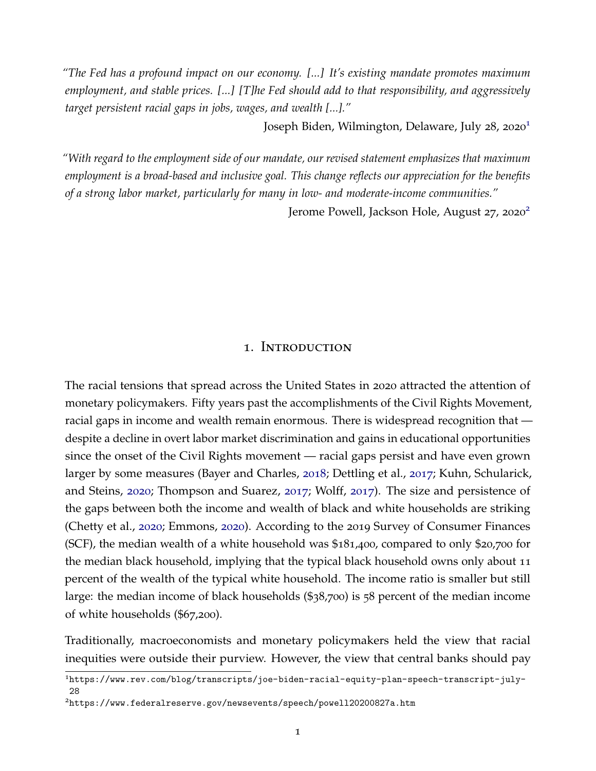*"The Fed has a profound impact on our economy. [...] It's existing mandate promotes maximum employment, and stable prices. [...] [T]he Fed should add to that responsibility, and aggressively target persistent racial gaps in jobs, wages, and wealth [...]."*

Joseph Biden, Wilmington, Delaware, July 28, 2020[1](#page-2-0)

*"With regard to the employment side of our mandate, our revised statement emphasizes that maximum employment is a broad-based and inclusive goal. This change reflects our appreciation for the benefits of a strong labor market, particularly for many in low- and moderate-income communities."*

Jerome Powell, Jackson Hole, August [2](#page-2-0)7, 2020<sup>2</sup>

#### 1. Introduction

<span id="page-3-0"></span>The racial tensions that spread across the United States in 2020 attracted the attention of monetary policymakers. Fifty years past the accomplishments of the Civil Rights Movement, racial gaps in income and wealth remain enormous. There is widespread recognition that despite a decline in overt labor market discrimination and gains in educational opportunities since the onset of the Civil Rights movement — racial gaps persist and have even grown larger by some measures (Bayer and Charles, [2018](#page-41-0); Dettling et al., [2017](#page-42-0); Kuhn, Schularick, and Steins, [2020](#page-44-0); Thompson and Suarez, [2017](#page-45-0); Wolff, [2017](#page-45-1)). The size and persistence of the gaps between both the income and wealth of black and white households are striking (Chetty et al., [2020](#page-42-1); Emmons, [2020](#page-43-0)). According to the 2019 Survey of Consumer Finances (SCF), the median wealth of a white household was \$181,400, compared to only \$20,700 for the median black household, implying that the typical black household owns only about 11 percent of the wealth of the typical white household. The income ratio is smaller but still large: the median income of black households (\$38,700) is 58 percent of the median income of white households (\$67,200).

Traditionally, macroeconomists and monetary policymakers held the view that racial inequities were outside their purview. However, the view that central banks should pay

<sup>1</sup>[https://www.rev.com/blog/transcripts/joe-biden-racial-equity-plan-speech-transcript-july-](https://www.rev.com/blog/transcripts/joe-biden-racial-equity-plan-speech-transcript-july-28)[28](https://www.rev.com/blog/transcripts/joe-biden-racial-equity-plan-speech-transcript-july-28)

<sup>2</sup><https://www.federalreserve.gov/newsevents/speech/powell20200827a.htm>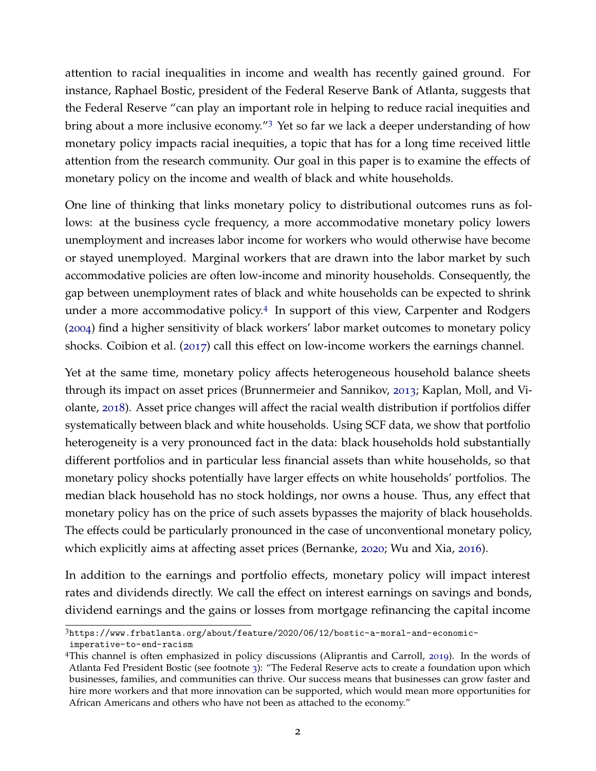attention to racial inequalities in income and wealth has recently gained ground. For instance, Raphael Bostic, president of the Federal Reserve Bank of Atlanta, suggests that the Federal Reserve "can play an important role in helping to reduce racial inequities and bring about a more inclusive economy."[3](#page-2-0) Yet so far we lack a deeper understanding of how monetary policy impacts racial inequities, a topic that has for a long time received little attention from the research community. Our goal in this paper is to examine the effects of monetary policy on the income and wealth of black and white households.

One line of thinking that links monetary policy to distributional outcomes runs as follows: at the business cycle frequency, a more accommodative monetary policy lowers unemployment and increases labor income for workers who would otherwise have become or stayed unemployed. Marginal workers that are drawn into the labor market by such accommodative policies are often low-income and minority households. Consequently, the gap between unemployment rates of black and white households can be expected to shrink under a more accommodative policy.[4](#page-2-0) In support of this view, Carpenter and Rodgers ([2004](#page-42-2)) find a higher sensitivity of black workers' labor market outcomes to monetary policy shocks. Coibion et al. ([2017](#page-42-3)) call this effect on low-income workers the earnings channel.

Yet at the same time, monetary policy affects heterogeneous household balance sheets through its impact on asset prices (Brunnermeier and Sannikov, [2013](#page-42-4); Kaplan, Moll, and Violante, [2018](#page-43-1)). Asset price changes will affect the racial wealth distribution if portfolios differ systematically between black and white households. Using SCF data, we show that portfolio heterogeneity is a very pronounced fact in the data: black households hold substantially different portfolios and in particular less financial assets than white households, so that monetary policy shocks potentially have larger effects on white households' portfolios. The median black household has no stock holdings, nor owns a house. Thus, any effect that monetary policy has on the price of such assets bypasses the majority of black households. The effects could be particularly pronounced in the case of unconventional monetary policy, which explicitly aims at affecting asset prices (Bernanke, [2020](#page-41-1); Wu and Xia, [2016](#page-45-2)).

In addition to the earnings and portfolio effects, monetary policy will impact interest rates and dividends directly. We call the effect on interest earnings on savings and bonds, dividend earnings and the gains or losses from mortgage refinancing the capital income

<sup>3</sup>[https://www.frbatlanta.org/about/feature/2020/06/12/bostic-a-moral-and-economic-](https://www.frbatlanta.org/about/feature/2020/06/12/bostic-a-moral-and-economic-imperative-to-end-racism)

[imperative-to-end-racism](https://www.frbatlanta.org/about/feature/2020/06/12/bostic-a-moral-and-economic-imperative-to-end-racism)

<sup>4</sup>This channel is often emphasized in policy discussions (Aliprantis and Carroll, [2019](#page-41-2)). In the words of Atlanta Fed President Bostic (see footnote [3](#page-3-0)): "The Federal Reserve acts to create a foundation upon which businesses, families, and communities can thrive. Our success means that businesses can grow faster and hire more workers and that more innovation can be supported, which would mean more opportunities for African Americans and others who have not been as attached to the economy."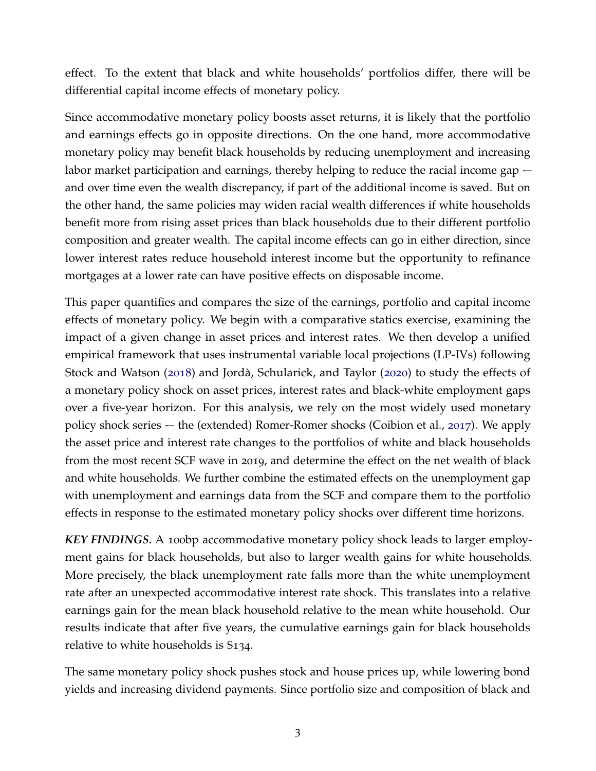effect. To the extent that black and white households' portfolios differ, there will be differential capital income effects of monetary policy.

Since accommodative monetary policy boosts asset returns, it is likely that the portfolio and earnings effects go in opposite directions. On the one hand, more accommodative monetary policy may benefit black households by reducing unemployment and increasing labor market participation and earnings, thereby helping to reduce the racial income gap -and over time even the wealth discrepancy, if part of the additional income is saved. But on the other hand, the same policies may widen racial wealth differences if white households benefit more from rising asset prices than black households due to their different portfolio composition and greater wealth. The capital income effects can go in either direction, since lower interest rates reduce household interest income but the opportunity to refinance mortgages at a lower rate can have positive effects on disposable income.

This paper quantifies and compares the size of the earnings, portfolio and capital income effects of monetary policy. We begin with a comparative statics exercise, examining the impact of a given change in asset prices and interest rates. We then develop a unified empirical framework that uses instrumental variable local projections (LP-IVs) following Stock and Watson ([2018](#page-45-3)) and Jordà, Schularick, and Taylor ([2020](#page-43-2)) to study the effects of a monetary policy shock on asset prices, interest rates and black-white employment gaps over a five-year horizon. For this analysis, we rely on the most widely used monetary policy shock series -– the (extended) Romer-Romer shocks (Coibion et al., [2017](#page-42-3)). We apply the asset price and interest rate changes to the portfolios of white and black households from the most recent SCF wave in 2019, and determine the effect on the net wealth of black and white households. We further combine the estimated effects on the unemployment gap with unemployment and earnings data from the SCF and compare them to the portfolio effects in response to the estimated monetary policy shocks over different time horizons.

*KEY FINDINGS.* A 100bp accommodative monetary policy shock leads to larger employment gains for black households, but also to larger wealth gains for white households. More precisely, the black unemployment rate falls more than the white unemployment rate after an unexpected accommodative interest rate shock. This translates into a relative earnings gain for the mean black household relative to the mean white household. Our results indicate that after five years, the cumulative earnings gain for black households relative to white households is \$134.

The same monetary policy shock pushes stock and house prices up, while lowering bond yields and increasing dividend payments. Since portfolio size and composition of black and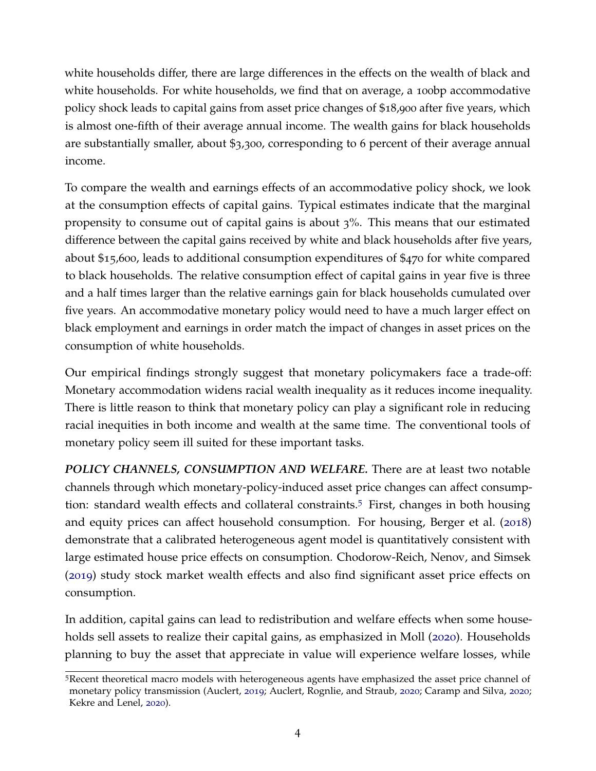white households differ, there are large differences in the effects on the wealth of black and white households. For white households, we find that on average, a 100bp accommodative policy shock leads to capital gains from asset price changes of \$18,900 after five years, which is almost one-fifth of their average annual income. The wealth gains for black households are substantially smaller, about \$3,300, corresponding to 6 percent of their average annual income.

To compare the wealth and earnings effects of an accommodative policy shock, we look at the consumption effects of capital gains. Typical estimates indicate that the marginal propensity to consume out of capital gains is about 3%. This means that our estimated difference between the capital gains received by white and black households after five years, about \$15,600, leads to additional consumption expenditures of \$470 for white compared to black households. The relative consumption effect of capital gains in year five is three and a half times larger than the relative earnings gain for black households cumulated over five years. An accommodative monetary policy would need to have a much larger effect on black employment and earnings in order match the impact of changes in asset prices on the consumption of white households.

Our empirical findings strongly suggest that monetary policymakers face a trade-off: Monetary accommodation widens racial wealth inequality as it reduces income inequality. There is little reason to think that monetary policy can play a significant role in reducing racial inequities in both income and wealth at the same time. The conventional tools of monetary policy seem ill suited for these important tasks.

*POLICY CHANNELS, CONSUMPTION AND WELFARE.* There are at least two notable channels through which monetary-policy-induced asset price changes can affect consumption: standard wealth effects and collateral constraints.[5](#page-2-0) First, changes in both housing and equity prices can affect household consumption. For housing, Berger et al. ([2018](#page-41-3)) demonstrate that a calibrated heterogeneous agent model is quantitatively consistent with large estimated house price effects on consumption. Chodorow-Reich, Nenov, and Simsek ([2019](#page-42-5)) study stock market wealth effects and also find significant asset price effects on consumption.

In addition, capital gains can lead to redistribution and welfare effects when some households sell assets to realize their capital gains, as emphasized in Moll ([2020](#page-44-1)). Households planning to buy the asset that appreciate in value will experience welfare losses, while

<sup>5</sup>Recent theoretical macro models with heterogeneous agents have emphasized the asset price channel of monetary policy transmission (Auclert, [2019](#page-41-4); Auclert, Rognlie, and Straub, [2020](#page-41-5); Caramp and Silva, [2020](#page-42-6); Kekre and Lenel, [2020](#page-43-3)).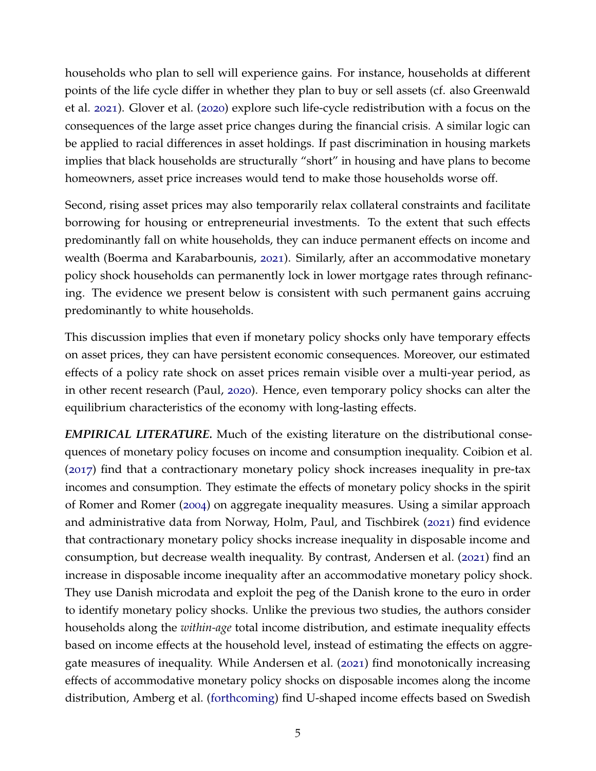households who plan to sell will experience gains. For instance, households at different points of the life cycle differ in whether they plan to buy or sell assets (cf. also Greenwald et al. [2021](#page-43-4)). Glover et al. ([2020](#page-43-5)) explore such life-cycle redistribution with a focus on the consequences of the large asset price changes during the financial crisis. A similar logic can be applied to racial differences in asset holdings. If past discrimination in housing markets implies that black households are structurally "short" in housing and have plans to become homeowners, asset price increases would tend to make those households worse off.

Second, rising asset prices may also temporarily relax collateral constraints and facilitate borrowing for housing or entrepreneurial investments. To the extent that such effects predominantly fall on white households, they can induce permanent effects on income and wealth (Boerma and Karabarbounis, [2021](#page-42-7)). Similarly, after an accommodative monetary policy shock households can permanently lock in lower mortgage rates through refinancing. The evidence we present below is consistent with such permanent gains accruing predominantly to white households.

This discussion implies that even if monetary policy shocks only have temporary effects on asset prices, they can have persistent economic consequences. Moreover, our estimated effects of a policy rate shock on asset prices remain visible over a multi-year period, as in other recent research (Paul, [2020](#page-44-2)). Hence, even temporary policy shocks can alter the equilibrium characteristics of the economy with long-lasting effects.

*EMPIRICAL LITERATURE.* Much of the existing literature on the distributional consequences of monetary policy focuses on income and consumption inequality. Coibion et al. ([2017](#page-42-3)) find that a contractionary monetary policy shock increases inequality in pre-tax incomes and consumption. They estimate the effects of monetary policy shocks in the spirit of Romer and Romer ([2004](#page-44-3)) on aggregate inequality measures. Using a similar approach and administrative data from Norway, Holm, Paul, and Tischbirek ([2021](#page-43-6)) find evidence that contractionary monetary policy shocks increase inequality in disposable income and consumption, but decrease wealth inequality. By contrast, Andersen et al. ([2021](#page-41-6)) find an increase in disposable income inequality after an accommodative monetary policy shock. They use Danish microdata and exploit the peg of the Danish krone to the euro in order to identify monetary policy shocks. Unlike the previous two studies, the authors consider households along the *within-age* total income distribution, and estimate inequality effects based on income effects at the household level, instead of estimating the effects on aggregate measures of inequality. While Andersen et al. ([2021](#page-41-6)) find monotonically increasing effects of accommodative monetary policy shocks on disposable incomes along the income distribution, Amberg et al. [\(forthcoming\)](#page-41-7) find U-shaped income effects based on Swedish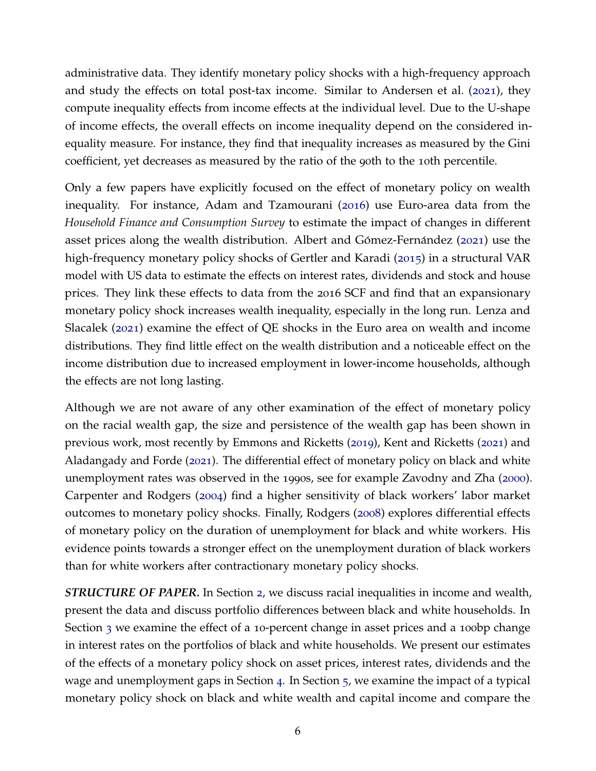administrative data. They identify monetary policy shocks with a high-frequency approach and study the effects on total post-tax income. Similar to Andersen et al. ([2021](#page-41-6)), they compute inequality effects from income effects at the individual level. Due to the U-shape of income effects, the overall effects on income inequality depend on the considered inequality measure. For instance, they find that inequality increases as measured by the Gini coefficient, yet decreases as measured by the ratio of the 90th to the 10th percentile.

Only a few papers have explicitly focused on the effect of monetary policy on wealth inequality. For instance, Adam and Tzamourani ([2016](#page-41-8)) use Euro-area data from the *Household Finance and Consumption Survey* to estimate the impact of changes in different asset prices along the wealth distribution. Albert and Gómez-Fernández ([2021](#page-41-9)) use the high-frequency monetary policy shocks of Gertler and Karadi ([2015](#page-43-7)) in a structural VAR model with US data to estimate the effects on interest rates, dividends and stock and house prices. They link these effects to data from the 2016 SCF and find that an expansionary monetary policy shock increases wealth inequality, especially in the long run. Lenza and Slacalek ([2021](#page-44-4)) examine the effect of QE shocks in the Euro area on wealth and income distributions. They find little effect on the wealth distribution and a noticeable effect on the income distribution due to increased employment in lower-income households, although the effects are not long lasting.

Although we are not aware of any other examination of the effect of monetary policy on the racial wealth gap, the size and persistence of the wealth gap has been shown in previous work, most recently by Emmons and Ricketts ([2019](#page-43-8)), Kent and Ricketts ([2021](#page-43-9)) and Aladangady and Forde ([2021](#page-41-10)). The differential effect of monetary policy on black and white unemployment rates was observed in the 1990s, see for example Zavodny and Zha ([2000](#page-45-4)). Carpenter and Rodgers ([2004](#page-42-2)) find a higher sensitivity of black workers' labor market outcomes to monetary policy shocks. Finally, Rodgers ([2008](#page-44-5)) explores differential effects of monetary policy on the duration of unemployment for black and white workers. His evidence points towards a stronger effect on the unemployment duration of black workers than for white workers after contractionary monetary policy shocks.

*STRUCTURE OF PAPER.* In Section [2](#page-9-0), we discuss racial inequalities in income and wealth, present the data and discuss portfolio differences between black and white households. In Section [3](#page-15-0) we examine the effect of a 10-percent change in asset prices and a 100bp change in interest rates on the portfolios of black and white households. We present our estimates of the effects of a monetary policy shock on asset prices, interest rates, dividends and the wage and unemployment gaps in Section [4](#page-20-0). In Section [5](#page-27-0), we examine the impact of a typical monetary policy shock on black and white wealth and capital income and compare the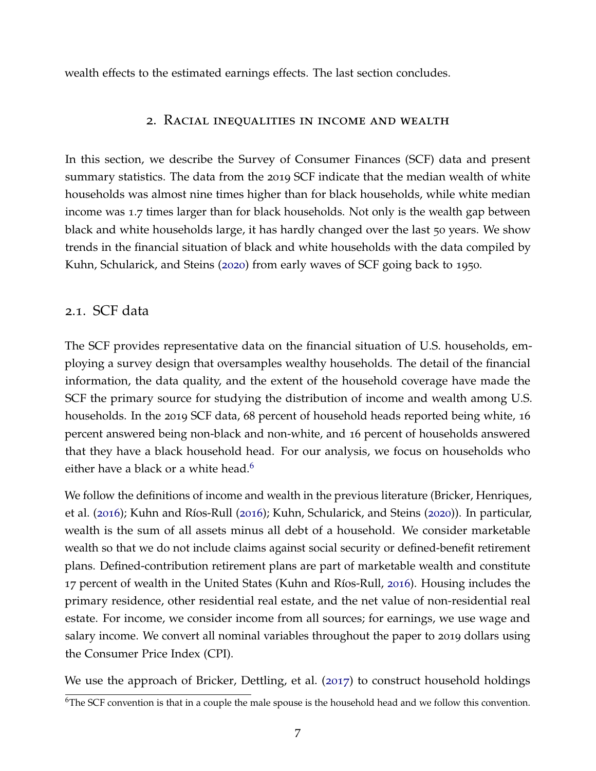<span id="page-9-0"></span>wealth effects to the estimated earnings effects. The last section concludes.

#### 2. Racial inequalities in income and wealth

In this section, we describe the Survey of Consumer Finances (SCF) data and present summary statistics. The data from the 2019 SCF indicate that the median wealth of white households was almost nine times higher than for black households, while white median income was 1.7 times larger than for black households. Not only is the wealth gap between black and white households large, it has hardly changed over the last 50 years. We show trends in the financial situation of black and white households with the data compiled by Kuhn, Schularick, and Steins ([2020](#page-44-0)) from early waves of SCF going back to 1950.

#### 2.1. SCF data

The SCF provides representative data on the financial situation of U.S. households, employing a survey design that oversamples wealthy households. The detail of the financial information, the data quality, and the extent of the household coverage have made the SCF the primary source for studying the distribution of income and wealth among U.S. households. In the 2019 SCF data, 68 percent of household heads reported being white, 16 percent answered being non-black and non-white, and 16 percent of households answered that they have a black household head. For our analysis, we focus on households who either have a black or a white head.<sup>[6](#page-2-0)</sup>

We follow the definitions of income and wealth in the previous literature (Bricker, Henriques, et al. ([2016](#page-44-6)); Kuhn and Ríos-Rull (2016); Kuhn, Schularick, and Steins ([2020](#page-44-0))). In particular, wealth is the sum of all assets minus all debt of a household. We consider marketable wealth so that we do not include claims against social security or defined-benefit retirement plans. Defined-contribution retirement plans are part of marketable wealth and constitute 17 percent of wealth in the United States (Kuhn and Ríos-Rull, [2016](#page-44-6)). Housing includes the primary residence, other residential real estate, and the net value of non-residential real estate. For income, we consider income from all sources; for earnings, we use wage and salary income. We convert all nominal variables throughout the paper to 2019 dollars using the Consumer Price Index (CPI).

We use the approach of Bricker, Dettling, et al. ([2017](#page-42-9)) to construct household holdings

 $6$ The SCF convention is that in a couple the male spouse is the household head and we follow this convention.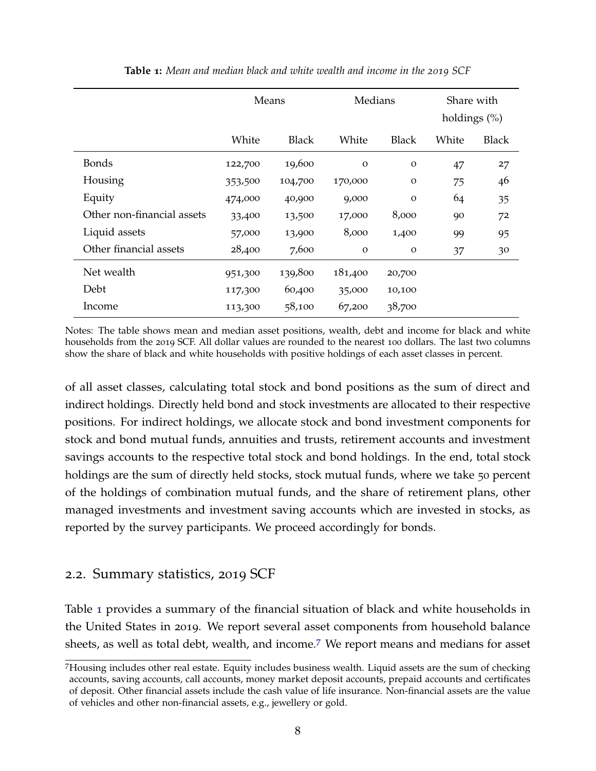<span id="page-10-0"></span>

|                            | Means   |              |              | Medians      |       | Share with<br>holdings $(\%)$ |  |
|----------------------------|---------|--------------|--------------|--------------|-------|-------------------------------|--|
|                            | White   | <b>Black</b> | White        | <b>Black</b> | White | <b>Black</b>                  |  |
| <b>Bonds</b>               | 122,700 | 19,600       | $\Omega$     | $\mathbf{O}$ | 47    | 27                            |  |
| Housing                    | 353,500 | 104,700      | 170,000      | $\Omega$     | 75    | 46                            |  |
| Equity                     | 474,000 | 40,900       | 9,000        | $\mathbf{O}$ | 64    | 35                            |  |
| Other non-financial assets | 33,400  | 13,500       | 17,000       | 8,000        | 90    | 72                            |  |
| Liquid assets              | 57,000  | 13,900       | 8,000        | 1,400        | 99    | 95                            |  |
| Other financial assets     | 28,400  | 7,600        | $\mathbf{O}$ | $\mathbf{O}$ | 37    | 30                            |  |
| Net wealth                 | 951,300 | 139,800      | 181,400      | 20,700       |       |                               |  |
| Debt                       | 117,300 | 60,400       | 35,000       | 10,100       |       |                               |  |
| Income                     | 113,300 | 58,100       | 67,200       | 38,700       |       |                               |  |

**Table 1:** *Mean and median black and white wealth and income in the 2019 SCF*

Notes: The table shows mean and median asset positions, wealth, debt and income for black and white households from the 2019 SCF. All dollar values are rounded to the nearest 100 dollars. The last two columns show the share of black and white households with positive holdings of each asset classes in percent.

of all asset classes, calculating total stock and bond positions as the sum of direct and indirect holdings. Directly held bond and stock investments are allocated to their respective positions. For indirect holdings, we allocate stock and bond investment components for stock and bond mutual funds, annuities and trusts, retirement accounts and investment savings accounts to the respective total stock and bond holdings. In the end, total stock holdings are the sum of directly held stocks, stock mutual funds, where we take 50 percent of the holdings of combination mutual funds, and the share of retirement plans, other managed investments and investment saving accounts which are invested in stocks, as reported by the survey participants. We proceed accordingly for bonds.

# 2.2. Summary statistics, 2019 SCF

Table [1](#page-10-0) provides a summary of the financial situation of black and white households in the United States in 2019. We report several asset components from household balance sheets, as well as total debt, wealth, and income.[7](#page-2-0) We report means and medians for asset

<sup>7</sup>Housing includes other real estate. Equity includes business wealth. Liquid assets are the sum of checking accounts, saving accounts, call accounts, money market deposit accounts, prepaid accounts and certificates of deposit. Other financial assets include the cash value of life insurance. Non-financial assets are the value of vehicles and other non-financial assets, e.g., jewellery or gold.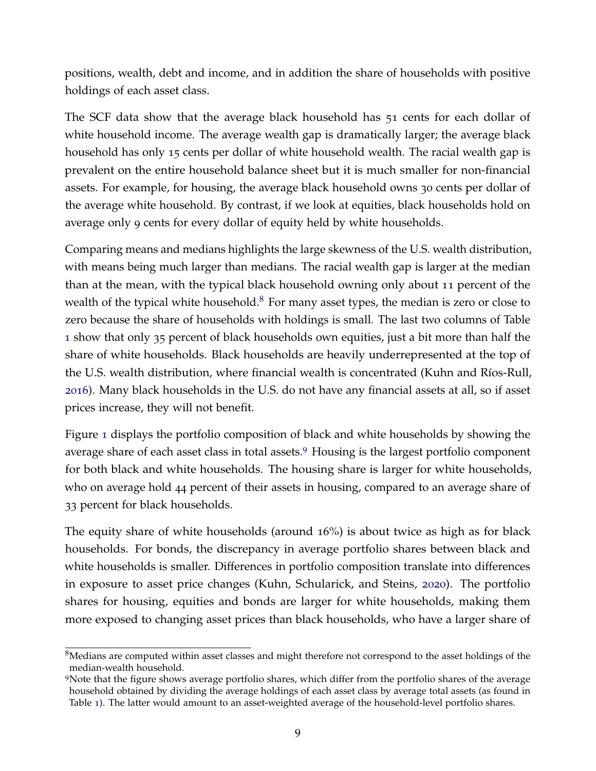positions, wealth, debt and income, and in addition the share of households with positive holdings of each asset class.

The SCF data show that the average black household has 51 cents for each dollar of white household income. The average wealth gap is dramatically larger; the average black household has only 15 cents per dollar of white household wealth. The racial wealth gap is prevalent on the entire household balance sheet but it is much smaller for non-financial assets. For example, for housing, the average black household owns 30 cents per dollar of the average white household. By contrast, if we look at equities, black households hold on average only 9 cents for every dollar of equity held by white households.

Comparing means and medians highlights the large skewness of the U.S. wealth distribution, with means being much larger than medians. The racial wealth gap is larger at the median than at the mean, with the typical black household owning only about 11 percent of the wealth of the typical white household. $8$  For many asset types, the median is zero or close to zero because the share of households with holdings is small. The last two columns of Table [1](#page-10-0) show that only 35 percent of black households own equities, just a bit more than half the share of white households. Black households are heavily underrepresented at the top of the U.S. wealth distribution, where financial wealth is concentrated (Kuhn and Ríos-Rull, [2016](#page-44-6)). Many black households in the U.S. do not have any financial assets at all, so if asset prices increase, they will not benefit.

Figure [1](#page-12-0) displays the portfolio composition of black and white households by showing the average share of each asset class in total assets.<sup>[9](#page-2-0)</sup> Housing is the largest portfolio component for both black and white households. The housing share is larger for white households, who on average hold 44 percent of their assets in housing, compared to an average share of 33 percent for black households.

The equity share of white households (around 16%) is about twice as high as for black households. For bonds, the discrepancy in average portfolio shares between black and white households is smaller. Differences in portfolio composition translate into differences in exposure to asset price changes (Kuhn, Schularick, and Steins, [2020](#page-44-0)). The portfolio shares for housing, equities and bonds are larger for white households, making them more exposed to changing asset prices than black households, who have a larger share of

<sup>&</sup>lt;sup>8</sup>Medians are computed within asset classes and might therefore not correspond to the asset holdings of the median-wealth household.

<sup>&</sup>lt;sup>9</sup>Note that the figure shows average portfolio shares, which differ from the portfolio shares of the average household obtained by dividing the average holdings of each asset class by average total assets (as found in Table [1](#page-10-0)). The latter would amount to an asset-weighted average of the household-level portfolio shares.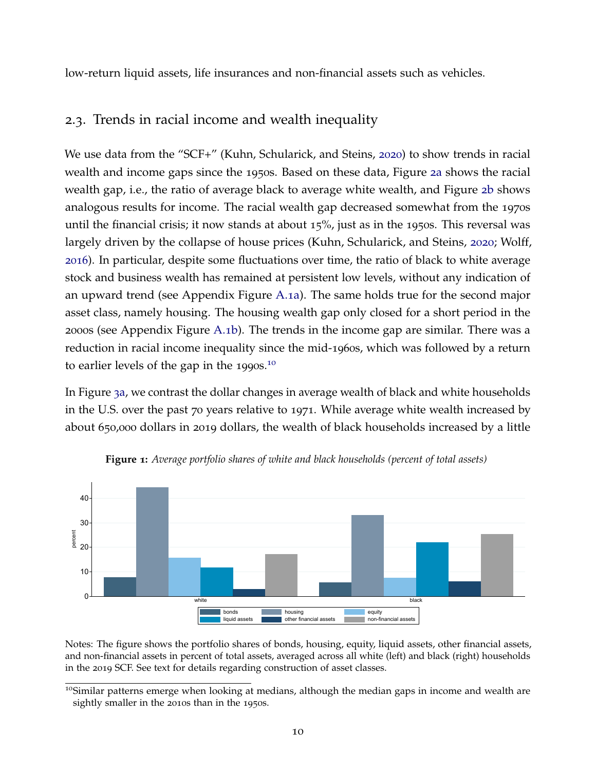low-return liquid assets, life insurances and non-financial assets such as vehicles.

# 2.3. Trends in racial income and wealth inequality

We use data from the "SCF+" (Kuhn, Schularick, and Steins, [2020](#page-44-0)) to show trends in racial wealth and income gaps since the 1950s. Based on these data, Figure 2[a](#page-13-0) shows the racial wealth gap, i.e., the ratio of average black to average white wealth, and Figure 2[b](#page-13-0) shows analogous results for income. The racial wealth gap decreased somewhat from the 1970s until the financial crisis; it now stands at about 15%, just as in the 1950s. This reversal was largely driven by the collapse of house prices (Kuhn, Schularick, and Steins, [2020](#page-44-0); Wolff, [2016](#page-45-5)). In particular, despite some fluctuations over time, the ratio of black to white average stock and business wealth has remained at persistent low levels, without any indication of an upward trend (see Appendix Figure [A.](#page-46-0)1a). The same holds true for the second major asset class, namely housing. The housing wealth gap only closed for a short period in the 2000s (see Appendix Figure [A.](#page-46-0)1b). The trends in the income gap are similar. There was a reduction in racial income inequality since the mid-1960s, which was followed by a return to earlier levels of the gap in the 1990s.<sup>[10](#page-2-0)</sup>

In Figure 3[a,](#page-13-1) we contrast the dollar changes in average wealth of black and white households in the U.S. over the past 70 years relative to 1971. While average white wealth increased by about 650,000 dollars in 2019 dollars, the wealth of black households increased by a little

<span id="page-12-0"></span>

**Figure 1:** *Average portfolio shares of white and black households (percent of total assets)*

Notes: The figure shows the portfolio shares of bonds, housing, equity, liquid assets, other financial assets, and non-financial assets in percent of total assets, averaged across all white (left) and black (right) households in the 2019 SCF. See text for details regarding construction of asset classes.

<sup>&</sup>lt;sup>10</sup>Similar patterns emerge when looking at medians, although the median gaps in income and wealth are sightly smaller in the 2010s than in the 1950s.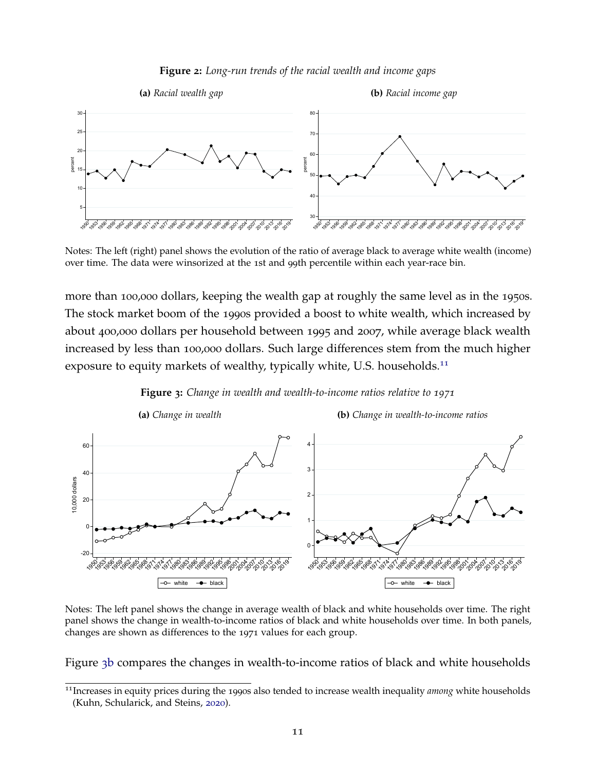

<span id="page-13-0"></span>

Notes: The left (right) panel shows the evolution of the ratio of average black to average white wealth (income) over time. The data were winsorized at the 1st and 99th percentile within each year-race bin.

more than 100,000 dollars, keeping the wealth gap at roughly the same level as in the 1950s. The stock market boom of the 1990s provided a boost to white wealth, which increased by about 400,000 dollars per household between 1995 and 2007, while average black wealth increased by less than 100,000 dollars. Such large differences stem from the much higher exposure to equity markets of wealthy, typically white, U.S. households.<sup>[11](#page-2-0)</sup>

<span id="page-13-1"></span>

**Figure 3:** *Change in wealth and wealth-to-income ratios relative to 1971*

Notes: The left panel shows the change in average wealth of black and white households over time. The right panel shows the change in wealth-to-income ratios of black and white households over time. In both panels, changes are shown as differences to the 1971 values for each group.

Figure 3[b](#page-13-1) compares the changes in wealth-to-income ratios of black and white households

Increases in equity prices during the 1990s also tended to increase wealth inequality *among* white households (Kuhn, Schularick, and Steins, [2020](#page-44-0)).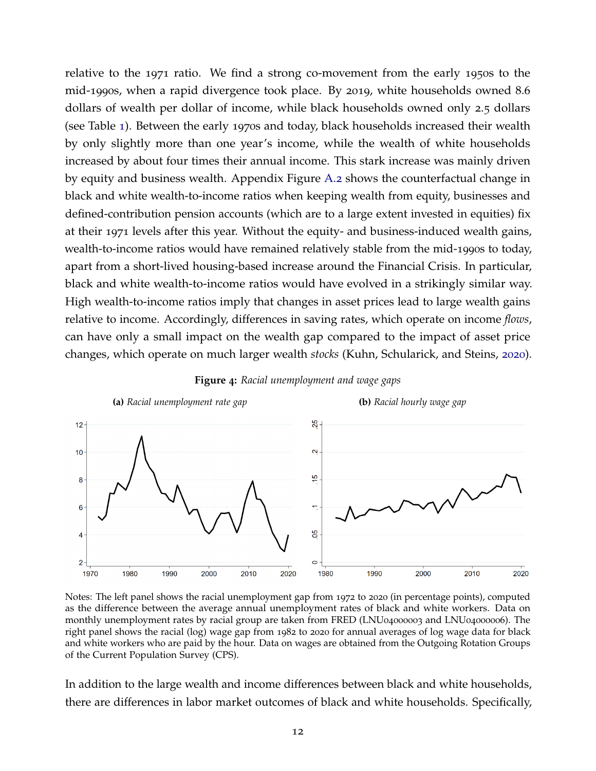relative to the 1971 ratio. We find a strong co-movement from the early 1950s to the mid-1990s, when a rapid divergence took place. By 2019, white households owned 8.6 dollars of wealth per dollar of income, while black households owned only 2.5 dollars (see Table [1](#page-10-0)). Between the early 1970s and today, black households increased their wealth by only slightly more than one year's income, while the wealth of white households increased by about four times their annual income. This stark increase was mainly driven by equity and business wealth. Appendix Figure [A.](#page-46-1)2 shows the counterfactual change in black and white wealth-to-income ratios when keeping wealth from equity, businesses and defined-contribution pension accounts (which are to a large extent invested in equities) fix at their 1971 levels after this year. Without the equity- and business-induced wealth gains, wealth-to-income ratios would have remained relatively stable from the mid-1990s to today, apart from a short-lived housing-based increase around the Financial Crisis. In particular, black and white wealth-to-income ratios would have evolved in a strikingly similar way. High wealth-to-income ratios imply that changes in asset prices lead to large wealth gains relative to income. Accordingly, differences in saving rates, which operate on income *flows*, can have only a small impact on the wealth gap compared to the impact of asset price changes, which operate on much larger wealth *stocks* (Kuhn, Schularick, and Steins, [2020](#page-44-0)).

<span id="page-14-0"></span>

**Figure 4:** *Racial unemployment and wage gaps*

Notes: The left panel shows the racial unemployment gap from 1972 to 2020 (in percentage points), computed as the difference between the average annual unemployment rates of black and white workers. Data on monthly unemployment rates by racial group are taken from FRED (LNU04000003 and LNU04000006). The right panel shows the racial (log) wage gap from 1982 to 2020 for annual averages of log wage data for black and white workers who are paid by the hour. Data on wages are obtained from the Outgoing Rotation Groups of the Current Population Survey (CPS).

In addition to the large wealth and income differences between black and white households, there are differences in labor market outcomes of black and white households. Specifically,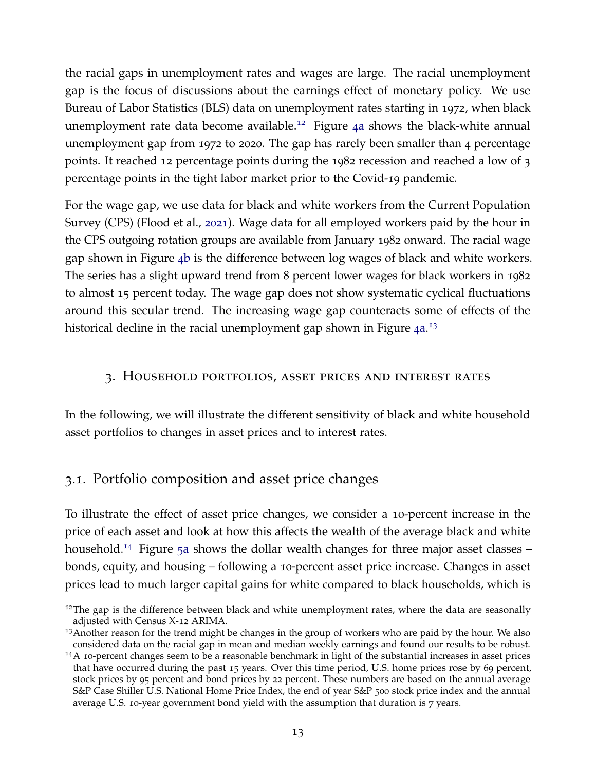the racial gaps in unemployment rates and wages are large. The racial unemployment gap is the focus of discussions about the earnings effect of monetary policy. We use Bureau of Labor Statistics (BLS) data on unemployment rates starting in 1972, when black unemployment rate data become available.<sup>[12](#page-2-0)</sup> Figure 4[a](#page-14-0) shows the black-white annual unemployment gap from 1972 to 2020. The gap has rarely been smaller than 4 percentage points. It reached 12 percentage points during the 1982 recession and reached a low of 3 percentage points in the tight labor market prior to the Covid-19 pandemic.

For the wage gap, we use data for black and white workers from the Current Population Survey (CPS) (Flood et al., [2021](#page-43-10)). Wage data for all employed workers paid by the hour in the CPS outgoing rotation groups are available from January 1982 onward. The racial wage gap shown in Figure 4[b](#page-14-0) is the difference between log wages of black and white workers. The series has a slight upward trend from 8 percent lower wages for black workers in 1982 to almost 15 percent today. The wage gap does not show systematic cyclical fluctuations around this secular trend. The increasing wage gap counteracts some of effects of the historical decline in the racial unemployment gap shown in Figure  $4a^{13}$  $4a^{13}$  $4a^{13}$ 

#### <span id="page-15-0"></span>3. Household portfolios, asset prices and interest rates

In the following, we will illustrate the different sensitivity of black and white household asset portfolios to changes in asset prices and to interest rates.

# 3.1. Portfolio composition and asset price changes

To illustrate the effect of asset price changes, we consider a 10-percent increase in the price of each asset and look at how this affects the wealth of the average black and white household.<sup>[14](#page-2-0)</sup> Figure 5[a](#page-16-0) shows the dollar wealth changes for three major asset classes – bonds, equity, and housing – following a 10-percent asset price increase. Changes in asset prices lead to much larger capital gains for white compared to black households, which is

<sup>&</sup>lt;sup>12</sup>The gap is the difference between black and white unemployment rates, where the data are seasonally adjusted with Census X-12 ARIMA.

<sup>&</sup>lt;sup>13</sup>Another reason for the trend might be changes in the group of workers who are paid by the hour. We also considered data on the racial gap in mean and median weekly earnings and found our results to be robust.

 $14A$  10-percent changes seem to be a reasonable benchmark in light of the substantial increases in asset prices that have occurred during the past 15 years. Over this time period, U.S. home prices rose by 69 percent, stock prices by 95 percent and bond prices by 22 percent. These numbers are based on the annual average S&P Case Shiller U.S. National Home Price Index, the end of year S&P 500 stock price index and the annual average U.S. 10-year government bond yield with the assumption that duration is 7 years.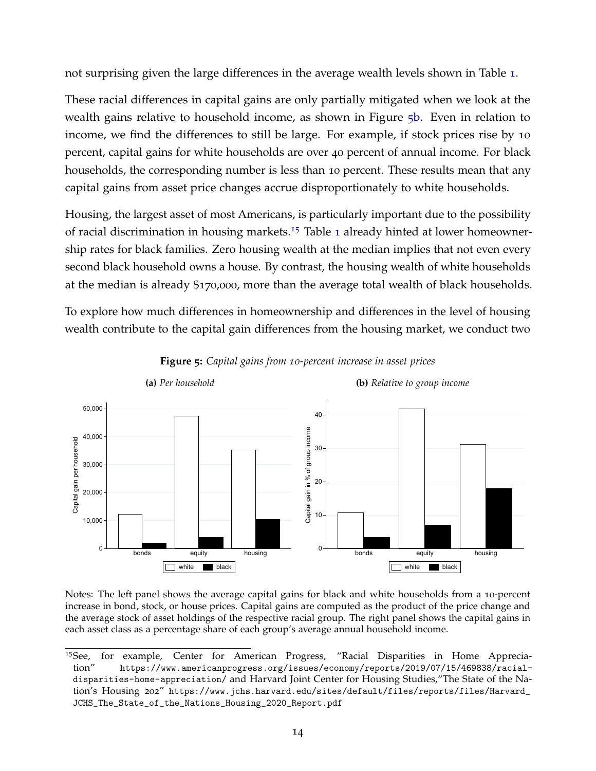not surprising given the large differences in the average wealth levels shown in Table [1](#page-10-0).

These racial differences in capital gains are only partially mitigated when we look at the wealth gains relative to household income, as shown in Figure 5[b.](#page-16-0) Even in relation to income, we find the differences to still be large. For example, if stock prices rise by 10 percent, capital gains for white households are over 40 percent of annual income. For black households, the corresponding number is less than 10 percent. These results mean that any capital gains from asset price changes accrue disproportionately to white households.

Housing, the largest asset of most Americans, is particularly important due to the possibility of racial discrimination in housing markets.<sup>[15](#page-2-0)</sup> Table [1](#page-10-0) already hinted at lower homeownership rates for black families. Zero housing wealth at the median implies that not even every second black household owns a house. By contrast, the housing wealth of white households at the median is already \$170,000, more than the average total wealth of black households.

To explore how much differences in homeownership and differences in the level of housing wealth contribute to the capital gain differences from the housing market, we conduct two

<span id="page-16-0"></span>

**Figure 5:** *Capital gains from 10-percent increase in asset prices*

Notes: The left panel shows the average capital gains for black and white households from a 10-percent increase in bond, stock, or house prices. Capital gains are computed as the product of the price change and the average stock of asset holdings of the respective racial group. The right panel shows the capital gains in each asset class as a percentage share of each group's average annual household income.

<sup>15</sup>See, for example, Center for American Progress, "Racial Disparities in Home Appreciation" [https://www.americanprogress.org/issues/economy/reports/2019/07/15/469838/racial](https://www.americanprogress.org/issues/economy/reports/2019/07/15/469838/racial-disparities-home-appreciation/)[disparities-home-appreciation/](https://www.americanprogress.org/issues/economy/reports/2019/07/15/469838/racial-disparities-home-appreciation/) and Harvard Joint Center for Housing Studies,"The State of the Nation's Housing 202" [https://www.jchs.harvard.edu/sites/default/files/reports/files/Harvard\\_](https://www.jchs.harvard.edu/sites/default/files/reports/files/Harvard_JCHS_The_State_of_the_Nations_Housing_2020_Report.pdf) [JCHS\\_The\\_State\\_of\\_the\\_Nations\\_Housing\\_2020\\_Report.pdf](https://www.jchs.harvard.edu/sites/default/files/reports/files/Harvard_JCHS_The_State_of_the_Nations_Housing_2020_Report.pdf)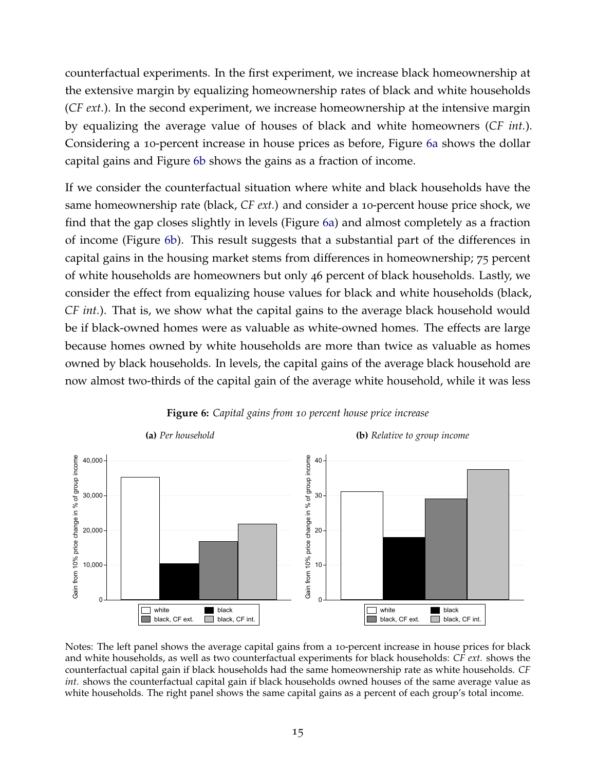counterfactual experiments. In the first experiment, we increase black homeownership at the extensive margin by equalizing homeownership rates of black and white households (*CF ext.*). In the second experiment, we increase homeownership at the intensive margin by equalizing the average value of houses of black and white homeowners (*CF int.*). Considering a 10-percent increase in house prices as before, Figure 6[a](#page-17-0) shows the dollar capital gains and Figure 6[b](#page-17-0) shows the gains as a fraction of income.

If we consider the counterfactual situation where white and black households have the same homeownership rate (black, *CF ext.*) and consider a 10-percent house price shock, we find that the gap closes slightly in levels (Figure 6[a\)](#page-17-0) and almost completely as a fraction of income (Figure 6[b\)](#page-17-0). This result suggests that a substantial part of the differences in capital gains in the housing market stems from differences in homeownership; 75 percent of white households are homeowners but only 46 percent of black households. Lastly, we consider the effect from equalizing house values for black and white households (black, *CF int.*). That is, we show what the capital gains to the average black household would be if black-owned homes were as valuable as white-owned homes. The effects are large because homes owned by white households are more than twice as valuable as homes owned by black households. In levels, the capital gains of the average black household are now almost two-thirds of the capital gain of the average white household, while it was less

<span id="page-17-0"></span>

#### **Figure 6:** *Capital gains from 10 percent house price increase*

Notes: The left panel shows the average capital gains from a 10-percent increase in house prices for black and white households, as well as two counterfactual experiments for black households: *CF ext.* shows the counterfactual capital gain if black households had the same homeownership rate as white households. *CF int.* shows the counterfactual capital gain if black households owned houses of the same average value as white households. The right panel shows the same capital gains as a percent of each group's total income.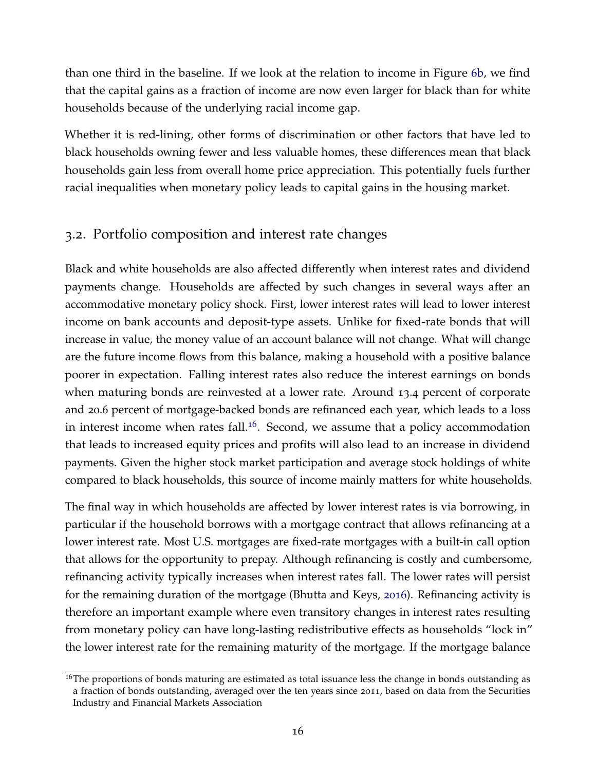than one third in the baseline. If we look at the relation to income in Figure 6[b,](#page-17-0) we find that the capital gains as a fraction of income are now even larger for black than for white households because of the underlying racial income gap.

Whether it is red-lining, other forms of discrimination or other factors that have led to black households owning fewer and less valuable homes, these differences mean that black households gain less from overall home price appreciation. This potentially fuels further racial inequalities when monetary policy leads to capital gains in the housing market.

# <span id="page-18-0"></span>3.2. Portfolio composition and interest rate changes

Black and white households are also affected differently when interest rates and dividend payments change. Households are affected by such changes in several ways after an accommodative monetary policy shock. First, lower interest rates will lead to lower interest income on bank accounts and deposit-type assets. Unlike for fixed-rate bonds that will increase in value, the money value of an account balance will not change. What will change are the future income flows from this balance, making a household with a positive balance poorer in expectation. Falling interest rates also reduce the interest earnings on bonds when maturing bonds are reinvested at a lower rate. Around 13.4 percent of corporate and 20.6 percent of mortgage-backed bonds are refinanced each year, which leads to a loss in interest income when rates fall.<sup>[16](#page-2-0)</sup>. Second, we assume that a policy accommodation that leads to increased equity prices and profits will also lead to an increase in dividend payments. Given the higher stock market participation and average stock holdings of white compared to black households, this source of income mainly matters for white households.

The final way in which households are affected by lower interest rates is via borrowing, in particular if the household borrows with a mortgage contract that allows refinancing at a lower interest rate. Most U.S. mortgages are fixed-rate mortgages with a built-in call option that allows for the opportunity to prepay. Although refinancing is costly and cumbersome, refinancing activity typically increases when interest rates fall. The lower rates will persist for the remaining duration of the mortgage (Bhutta and Keys, [2016](#page-41-11)). Refinancing activity is therefore an important example where even transitory changes in interest rates resulting from monetary policy can have long-lasting redistributive effects as households "lock in" the lower interest rate for the remaining maturity of the mortgage. If the mortgage balance

<sup>&</sup>lt;sup>16</sup>The proportions of bonds maturing are estimated as total issuance less the change in bonds outstanding as a fraction of bonds outstanding, averaged over the ten years since 2011, based on data from the Securities Industry and Financial Markets Association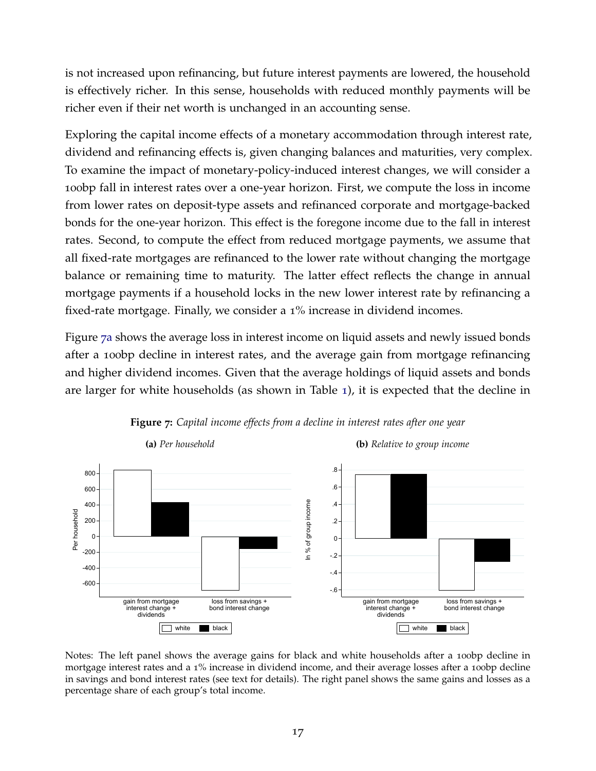is not increased upon refinancing, but future interest payments are lowered, the household is effectively richer. In this sense, households with reduced monthly payments will be richer even if their net worth is unchanged in an accounting sense.

Exploring the capital income effects of a monetary accommodation through interest rate, dividend and refinancing effects is, given changing balances and maturities, very complex. To examine the impact of monetary-policy-induced interest changes, we will consider a 100bp fall in interest rates over a one-year horizon. First, we compute the loss in income from lower rates on deposit-type assets and refinanced corporate and mortgage-backed bonds for the one-year horizon. This effect is the foregone income due to the fall in interest rates. Second, to compute the effect from reduced mortgage payments, we assume that all fixed-rate mortgages are refinanced to the lower rate without changing the mortgage balance or remaining time to maturity. The latter effect reflects the change in annual mortgage payments if a household locks in the new lower interest rate by refinancing a fixed-rate mortgage. Finally, we consider a 1% increase in dividend incomes.

Figure 7[a](#page-19-0) shows the average loss in interest income on liquid assets and newly issued bonds after a 100bp decline in interest rates, and the average gain from mortgage refinancing and higher dividend incomes. Given that the average holdings of liquid assets and bonds are larger for white households (as shown in Table [1](#page-10-0)), it is expected that the decline in

<span id="page-19-0"></span>

**Figure 7:** *Capital income effects from a decline in interest rates after one year*

Notes: The left panel shows the average gains for black and white households after a 100bp decline in mortgage interest rates and a 1% increase in dividend income, and their average losses after a 100bp decline in savings and bond interest rates (see text for details). The right panel shows the same gains and losses as a percentage share of each group's total income.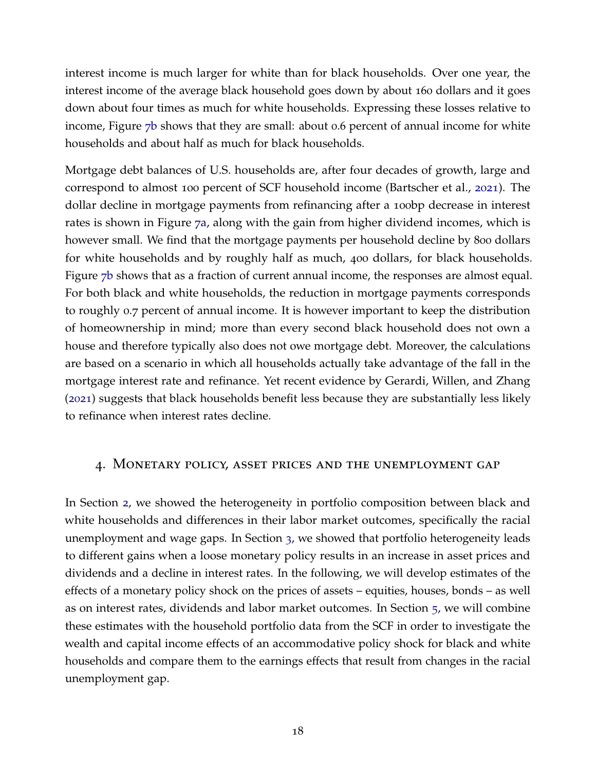interest income is much larger for white than for black households. Over one year, the interest income of the average black household goes down by about 160 dollars and it goes down about four times as much for white households. Expressing these losses relative to income, Figure 7[b](#page-19-0) shows that they are small: about 0.6 percent of annual income for white households and about half as much for black households.

Mortgage debt balances of U.S. households are, after four decades of growth, large and correspond to almost 100 percent of SCF household income (Bartscher et al., [2021](#page-41-12)). The dollar decline in mortgage payments from refinancing after a 100bp decrease in interest rates is shown in Figure 7[a,](#page-19-0) along with the gain from higher dividend incomes, which is however small. We find that the mortgage payments per household decline by 800 dollars for white households and by roughly half as much, 400 dollars, for black households. Figure 7[b](#page-19-0) shows that as a fraction of current annual income, the responses are almost equal. For both black and white households, the reduction in mortgage payments corresponds to roughly 0.7 percent of annual income. It is however important to keep the distribution of homeownership in mind; more than every second black household does not own a house and therefore typically also does not owe mortgage debt. Moreover, the calculations are based on a scenario in which all households actually take advantage of the fall in the mortgage interest rate and refinance. Yet recent evidence by Gerardi, Willen, and Zhang ([2021](#page-43-11)) suggests that black households benefit less because they are substantially less likely to refinance when interest rates decline.

# <span id="page-20-0"></span>4. Monetary policy, asset prices and the unemployment gap

In Section [2](#page-9-0), we showed the heterogeneity in portfolio composition between black and white households and differences in their labor market outcomes, specifically the racial unemployment and wage gaps. In Section [3](#page-15-0), we showed that portfolio heterogeneity leads to different gains when a loose monetary policy results in an increase in asset prices and dividends and a decline in interest rates. In the following, we will develop estimates of the effects of a monetary policy shock on the prices of assets – equities, houses, bonds – as well as on interest rates, dividends and labor market outcomes. In Section [5](#page-27-0), we will combine these estimates with the household portfolio data from the SCF in order to investigate the wealth and capital income effects of an accommodative policy shock for black and white households and compare them to the earnings effects that result from changes in the racial unemployment gap.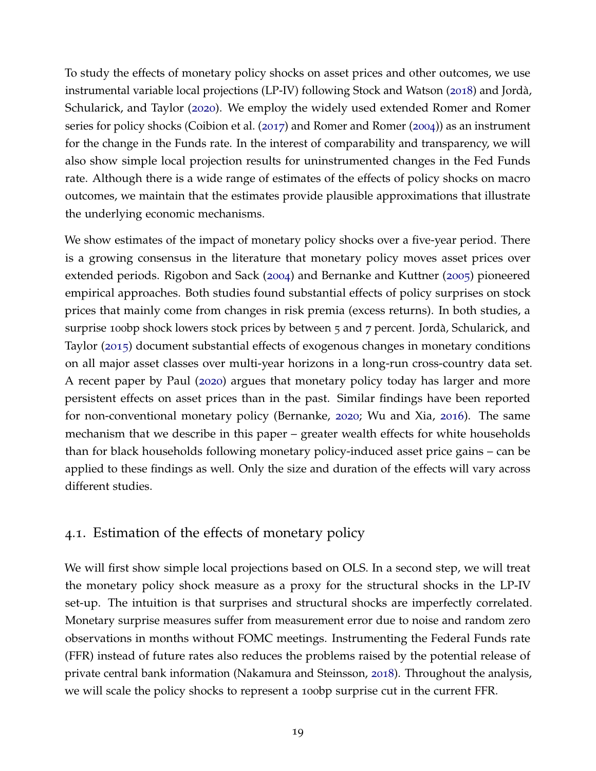To study the effects of monetary policy shocks on asset prices and other outcomes, we use instrumental variable local projections (LP-IV) following Stock and Watson ([2018](#page-45-3)) and Jordà, Schularick, and Taylor ([2020](#page-43-2)). We employ the widely used extended Romer and Romer series for policy shocks (Coibion et al. ([2017](#page-42-3)) and Romer and Romer ([2004](#page-44-3))) as an instrument for the change in the Funds rate. In the interest of comparability and transparency, we will also show simple local projection results for uninstrumented changes in the Fed Funds rate. Although there is a wide range of estimates of the effects of policy shocks on macro outcomes, we maintain that the estimates provide plausible approximations that illustrate the underlying economic mechanisms.

We show estimates of the impact of monetary policy shocks over a five-year period. There is a growing consensus in the literature that monetary policy moves asset prices over extended periods. Rigobon and Sack ([2004](#page-44-7)) and Bernanke and Kuttner ([2005](#page-41-13)) pioneered empirical approaches. Both studies found substantial effects of policy surprises on stock prices that mainly come from changes in risk premia (excess returns). In both studies, a surprise 100bp shock lowers stock prices by between  $5$  and  $7$  percent. Jordà, Schularick, and Taylor ([2015](#page-43-12)) document substantial effects of exogenous changes in monetary conditions on all major asset classes over multi-year horizons in a long-run cross-country data set. A recent paper by Paul ([2020](#page-44-2)) argues that monetary policy today has larger and more persistent effects on asset prices than in the past. Similar findings have been reported for non-conventional monetary policy (Bernanke, [2020](#page-41-1); Wu and Xia, [2016](#page-45-2)). The same mechanism that we describe in this paper – greater wealth effects for white households than for black households following monetary policy-induced asset price gains – can be applied to these findings as well. Only the size and duration of the effects will vary across different studies.

# 4.1. Estimation of the effects of monetary policy

We will first show simple local projections based on OLS. In a second step, we will treat the monetary policy shock measure as a proxy for the structural shocks in the LP-IV set-up. The intuition is that surprises and structural shocks are imperfectly correlated. Monetary surprise measures suffer from measurement error due to noise and random zero observations in months without FOMC meetings. Instrumenting the Federal Funds rate (FFR) instead of future rates also reduces the problems raised by the potential release of private central bank information (Nakamura and Steinsson, [2018](#page-44-8)). Throughout the analysis, we will scale the policy shocks to represent a 100bp surprise cut in the current FFR.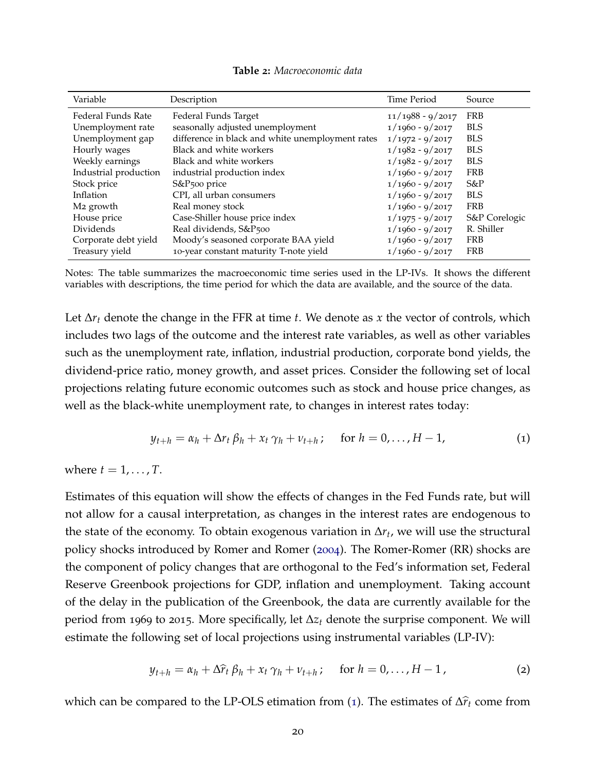| Table 2: Macroeconomic data |  |
|-----------------------------|--|
|-----------------------------|--|

<span id="page-22-1"></span>

| Variable              | Description                                      | Time Period        | Source        |
|-----------------------|--------------------------------------------------|--------------------|---------------|
| Federal Funds Rate    | Federal Funds Target                             | $11/1988 - 9/2017$ | <b>FRB</b>    |
| Unemployment rate     | seasonally adjusted unemployment                 | $1/1960 - 9/2017$  | <b>BLS</b>    |
| Unemployment gap      | difference in black and white unemployment rates | $1/1972 - 9/2017$  | <b>BLS</b>    |
| Hourly wages          | Black and white workers                          | $1/1982 - 9/2017$  | <b>BLS</b>    |
| Weekly earnings       | Black and white workers                          | $1/1982 - 9/2017$  | <b>BLS</b>    |
| Industrial production | industrial production index                      | $1/1960 - 9/2017$  | <b>FRB</b>    |
| Stock price           | S&P <sub>500</sub> price                         | $1/1960 - 9/2017$  | $S\&P$        |
| Inflation             | CPI, all urban consumers                         | $1/1960 - 9/2017$  | <b>BLS</b>    |
| M <sub>2</sub> growth | Real money stock                                 | $1/1960 - 9/2017$  | <b>FRB</b>    |
| House price           | Case-Shiller house price index                   | $1/1975 - 9/2017$  | S&P Corelogic |
| Dividends             | Real dividends, S&P <sub>500</sub>               | $1/1960 - 9/2017$  | R. Shiller    |
| Corporate debt yield  | Moody's seasoned corporate BAA yield             | $1/1960 - 9/2017$  | <b>FRB</b>    |
| Treasury yield        | 10-year constant maturity T-note yield           | $1/1960 - 9/2017$  | <b>FRB</b>    |

Notes: The table summarizes the macroeconomic time series used in the LP-IVs. It shows the different variables with descriptions, the time period for which the data are available, and the source of the data.

Let ∆*r<sup>t</sup>* denote the change in the FFR at time *t*. We denote as *x* the vector of controls, which includes two lags of the outcome and the interest rate variables, as well as other variables such as the unemployment rate, inflation, industrial production, corporate bond yields, the dividend-price ratio, money growth, and asset prices. Consider the following set of local projections relating future economic outcomes such as stock and house price changes, as well as the black-white unemployment rate, to changes in interest rates today:

<span id="page-22-0"></span>
$$
y_{t+h} = \alpha_h + \Delta r_t \beta_h + x_t \gamma_h + \nu_{t+h}; \quad \text{for } h = 0, \dots, H-1,
$$
 (1)

where  $t = 1, \ldots, T$ .

Estimates of this equation will show the effects of changes in the Fed Funds rate, but will not allow for a causal interpretation, as changes in the interest rates are endogenous to the state of the economy. To obtain exogenous variation in ∆*r<sup>t</sup>* , we will use the structural policy shocks introduced by Romer and Romer ([2004](#page-44-3)). The Romer-Romer (RR) shocks are the component of policy changes that are orthogonal to the Fed's information set, Federal Reserve Greenbook projections for GDP, inflation and unemployment. Taking account of the delay in the publication of the Greenbook, the data are currently available for the period from 1969 to 2015. More specifically, let ∆*z<sup>t</sup>* denote the surprise component. We will estimate the following set of local projections using instrumental variables (LP-IV):

$$
y_{t+h} = \alpha_h + \Delta \hat{r}_t \beta_h + x_t \gamma_h + \nu_{t+h}; \quad \text{for } h = 0, \ldots, H-1,
$$
 (2)

which can be compared to the LP-OLS etimation from ([1](#page-22-0)). The estimates of  $\Delta \hat{r}_t$  come from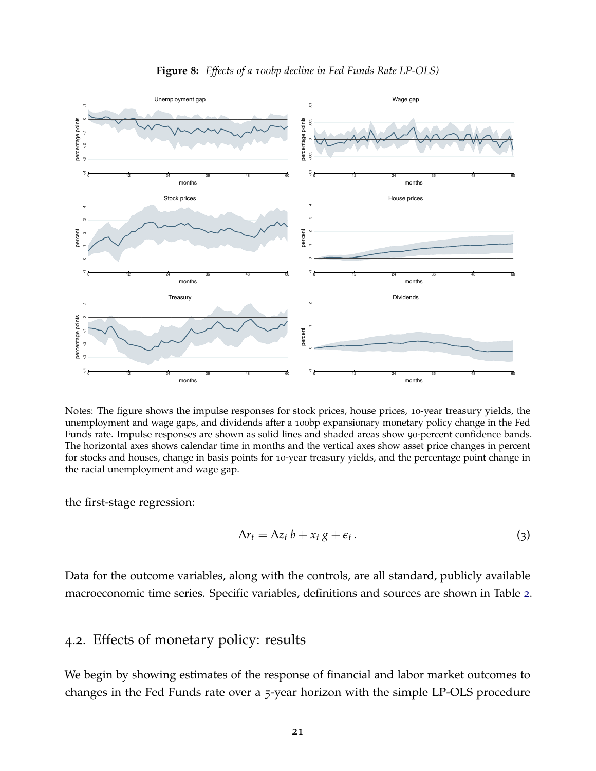<span id="page-23-0"></span>

**Figure 8:** *Effects of a 100bp decline in Fed Funds Rate LP-OLS)*

Notes: The figure shows the impulse responses for stock prices, house prices, 10-year treasury yields, the unemployment and wage gaps, and dividends after a 100bp expansionary monetary policy change in the Fed Funds rate. Impulse responses are shown as solid lines and shaded areas show 90-percent confidence bands. The horizontal axes shows calendar time in months and the vertical axes show asset price changes in percent for stocks and houses, change in basis points for 10-year treasury yields, and the percentage point change in the racial unemployment and wage gap.

the first-stage regression:

$$
\Delta r_t = \Delta z_t b + x_t g + \epsilon_t. \tag{3}
$$

<span id="page-23-1"></span>Data for the outcome variables, along with the controls, are all standard, publicly available macroeconomic time series. Specific variables, definitions and sources are shown in Table [2](#page-22-1).

# 4.2. Effects of monetary policy: results

We begin by showing estimates of the response of financial and labor market outcomes to changes in the Fed Funds rate over a 5-year horizon with the simple LP-OLS procedure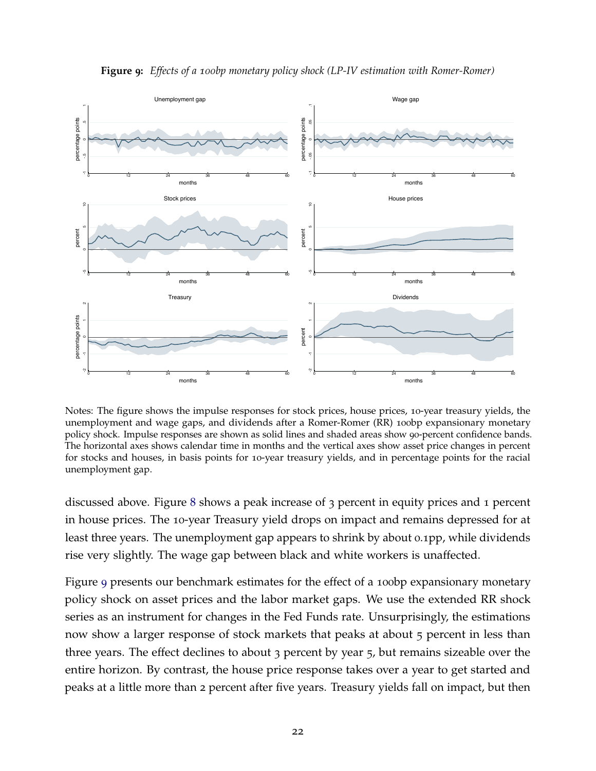<span id="page-24-0"></span>

**Figure 9:** *Effects of a 100bp monetary policy shock (LP-IV estimation with Romer-Romer)*

Notes: The figure shows the impulse responses for stock prices, house prices, 10-year treasury yields, the unemployment and wage gaps, and dividends after a Romer-Romer (RR) 100bp expansionary monetary policy shock. Impulse responses are shown as solid lines and shaded areas show 90-percent confidence bands. The horizontal axes shows calendar time in months and the vertical axes show asset price changes in percent for stocks and houses, in basis points for 10-year treasury yields, and in percentage points for the racial unemployment gap.

discussed above. Figure [8](#page-23-0) shows a peak increase of 3 percent in equity prices and 1 percent in house prices. The 10-year Treasury yield drops on impact and remains depressed for at least three years. The unemployment gap appears to shrink by about 0.1pp, while dividends rise very slightly. The wage gap between black and white workers is unaffected.

Figure [9](#page-24-0) presents our benchmark estimates for the effect of a 100 b expansionary monetary policy shock on asset prices and the labor market gaps. We use the extended RR shock series as an instrument for changes in the Fed Funds rate. Unsurprisingly, the estimations now show a larger response of stock markets that peaks at about 5 percent in less than three years. The effect declines to about 3 percent by year 5, but remains sizeable over the entire horizon. By contrast, the house price response takes over a year to get started and peaks at a little more than 2 percent after five years. Treasury yields fall on impact, but then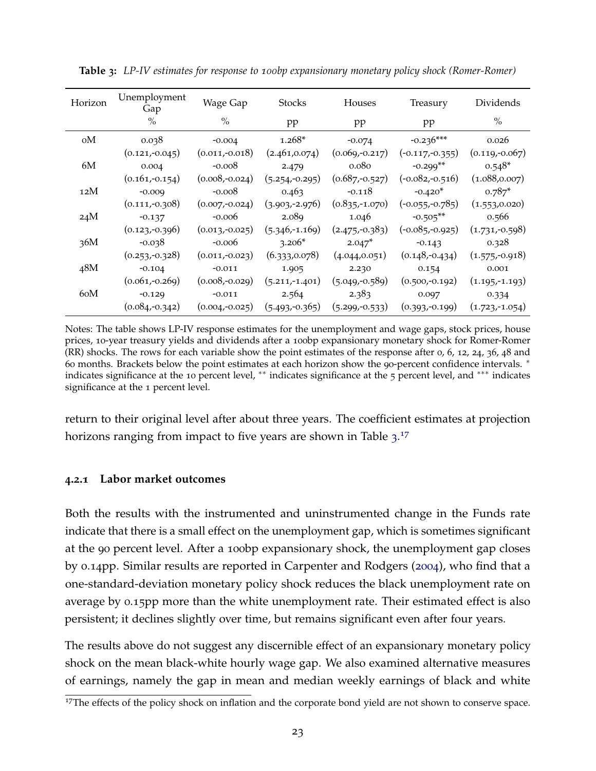| Horizon | Unemployment<br>Gap | Wage Gap         | <b>Stocks</b>    | Houses           | Treasury          | Dividends        |
|---------|---------------------|------------------|------------------|------------------|-------------------|------------------|
|         | $\%$                | $\%$             | pp               | pp               | pp                | $\frac{0}{0}$    |
| оM      | 0.038               | $-0.004$         | $1.268*$         | $-0.074$         | $-0.236***$       | 0.026            |
|         | $(0.121,-0.045)$    | $(0.011,-0.018)$ | (2.461, 0.074)   | $(0.069,-0.217)$ | $(-0.117,-0.355)$ | $(0.119,-0.067)$ |
| 6M      | 0.004               | $-0.008$         | 2.479            | 0.080            | $-0.299**$        | $0.548*$         |
|         | $(0.161,-0.154)$    | $(0.008,-0.024)$ | $(5.254,-0.295)$ | $(0.687,-0.527)$ | $(-0.082,-0.516)$ | (1.088, 0.007)   |
| 12M     | $-0.009$            | $-0.008$         | 0.463            | $-0.118$         | $-0.420*$         | $0.787*$         |
|         | $(0.111,-0.308)$    | $(0.007,-0.024)$ | $(3.903,-2.976)$ | $(0.835,-1.070)$ | $(-0.055,-0.785)$ | (1.553, 0.020)   |
| 24M     | $-0.137$            | $-0.006$         | 2.089            | 1.046            | $-0.505**$        | 0.566            |
|         | $(0.123,-0.396)$    | $(0.013,-0.025)$ | $(5.346,-1.169)$ | $(2.475,-0.383)$ | $(-0.085,-0.925)$ | $(1.731,-0.598)$ |
| 36M     | $-0.038$            | $-0.006$         | $3.206*$         | $2.047*$         | $-0.143$          | 0.328            |
|         | $(0.253,-0.328)$    | $(0.011,-0.023)$ | (6.333, 0.078)   | (4.044, 0.051)   | $(0.148,-0.434)$  | $(1.575,-0.918)$ |
| 48M     | $-0.104$            | $-0.011$         | 1.905            | 2.230            | 0.154             | 0.001            |
|         | $(0.061,-0.269)$    | $(0.008,-0.029)$ | $(5.211,-1.401)$ | $(5.049,-0.589)$ | $(0.500,-0.192)$  | $(1.195,-1.193)$ |
| 60M     | $-0.129$            | $-0.011$         | 2.564            | 2.383            | 0.097             | 0.334            |
|         | $(0.084,-0.342)$    | $(0.004,-0.025)$ | $(5.493,-0.365)$ | $(5.299,-0.533)$ | $(0.393,-0.199)$  | $(1.723,-1.054)$ |

<span id="page-25-0"></span>**Table 3:** *LP-IV estimates for response to 100bp expansionary monetary policy shock (Romer-Romer)*

Notes: The table shows LP-IV response estimates for the unemployment and wage gaps, stock prices, house prices, 10-year treasury yields and dividends after a 100bp expansionary monetary shock for Romer-Romer (RR) shocks. The rows for each variable show the point estimates of the response after 0, 6, 12, 24, 36, 48 and 60 months. Brackets below the point estimates at each horizon show the 90-percent confidence intervals. <sup>∗</sup> indicates significance at the 10 percent level, \*\* indicates significance at the 5 percent level, and \*\*\* indicates significance at the 1 percent level.

return to their original level after about three years. The coefficient estimates at projection horizons ranging from impact to five years are shown in Table  $3.17$  $3.17$  $3.17$ 

#### **4.2.1 Labor market outcomes**

Both the results with the instrumented and uninstrumented change in the Funds rate indicate that there is a small effect on the unemployment gap, which is sometimes significant at the 90 percent level. After a 100bp expansionary shock, the unemployment gap closes by 0.14pp. Similar results are reported in Carpenter and Rodgers ([2004](#page-42-2)), who find that a one-standard-deviation monetary policy shock reduces the black unemployment rate on average by 0.15pp more than the white unemployment rate. Their estimated effect is also persistent; it declines slightly over time, but remains significant even after four years.

The results above do not suggest any discernible effect of an expansionary monetary policy shock on the mean black-white hourly wage gap. We also examined alternative measures of earnings, namely the gap in mean and median weekly earnings of black and white

<sup>&</sup>lt;sup>17</sup>The effects of the policy shock on inflation and the corporate bond yield are not shown to conserve space.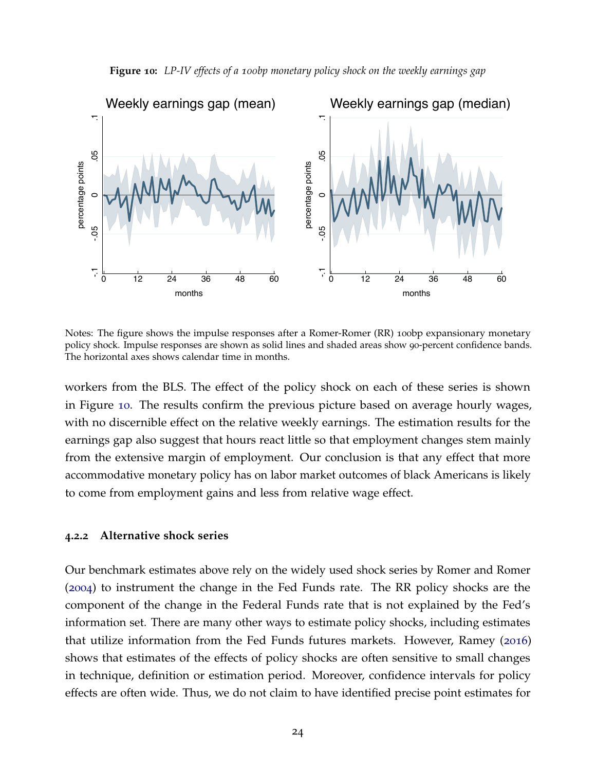<span id="page-26-0"></span>

**Figure 10:** *LP-IV effects of a 100bp monetary policy shock on the weekly earnings gap*

Notes: The figure shows the impulse responses after a Romer-Romer (RR) 100bp expansionary monetary policy shock. Impulse responses are shown as solid lines and shaded areas show 90-percent confidence bands. The horizontal axes shows calendar time in months.

workers from the BLS. The effect of the policy shock on each of these series is shown in Figure [10](#page-26-0). The results confirm the previous picture based on average hourly wages, with no discernible effect on the relative weekly earnings. The estimation results for the earnings gap also suggest that hours react little so that employment changes stem mainly from the extensive margin of employment. Our conclusion is that any effect that more accommodative monetary policy has on labor market outcomes of black Americans is likely to come from employment gains and less from relative wage effect.

#### <span id="page-26-1"></span>**4.2.2 Alternative shock series**

Our benchmark estimates above rely on the widely used shock series by Romer and Romer ([2004](#page-44-3)) to instrument the change in the Fed Funds rate. The RR policy shocks are the component of the change in the Federal Funds rate that is not explained by the Fed's information set. There are many other ways to estimate policy shocks, including estimates that utilize information from the Fed Funds futures markets. However, Ramey ([2016](#page-44-9)) shows that estimates of the effects of policy shocks are often sensitive to small changes in technique, definition or estimation period. Moreover, confidence intervals for policy effects are often wide. Thus, we do not claim to have identified precise point estimates for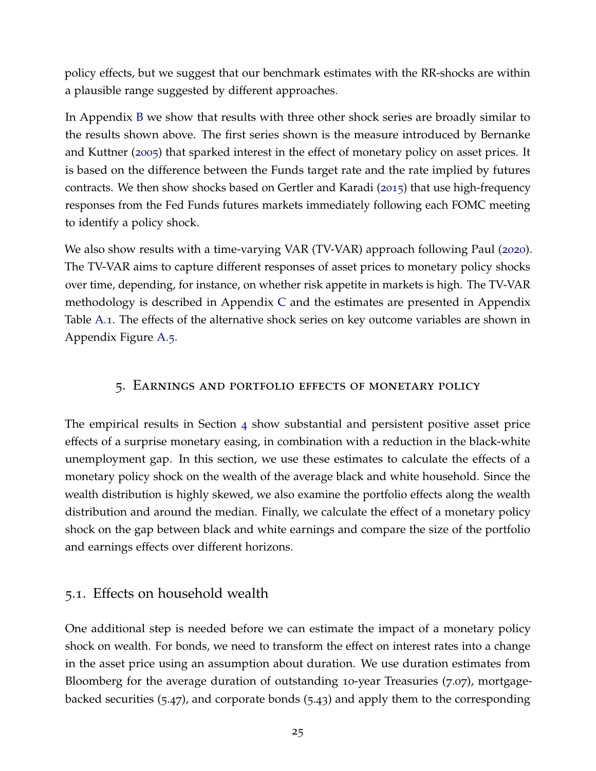policy effects, but we suggest that our benchmark estimates with the RR-shocks are within a plausible range suggested by different approaches.

In Appendix [B](#page-48-0) we show that results with three other shock series are broadly similar to the results shown above. The first series shown is the measure introduced by Bernanke and Kuttner ([2005](#page-41-13)) that sparked interest in the effect of monetary policy on asset prices. It is based on the difference between the Funds target rate and the rate implied by futures contracts. We then show shocks based on Gertler and Karadi ([2015](#page-43-7)) that use high-frequency responses from the Fed Funds futures markets immediately following each FOMC meeting to identify a policy shock.

We also show results with a time-varying VAR (TV-VAR) approach following Paul ([2020](#page-44-2)). The TV-VAR aims to capture different responses of asset prices to monetary policy shocks over time, depending, for instance, on whether risk appetite in markets is high. The TV-VAR methodology is described in Appendix [C](#page-48-1) and the estimates are presented in Appendix Table [A.](#page-50-0)1. The effects of the alternative shock series on key outcome variables are shown in Appendix Figure [A.](#page-49-0)5.

# <span id="page-27-0"></span>5. Earnings and portfolio effects of monetary policy

The empirical results in Section [4](#page-20-0) show substantial and persistent positive asset price effects of a surprise monetary easing, in combination with a reduction in the black-white unemployment gap. In this section, we use these estimates to calculate the effects of a monetary policy shock on the wealth of the average black and white household. Since the wealth distribution is highly skewed, we also examine the portfolio effects along the wealth distribution and around the median. Finally, we calculate the effect of a monetary policy shock on the gap between black and white earnings and compare the size of the portfolio and earnings effects over different horizons.

# <span id="page-27-1"></span>5.1. Effects on household wealth

One additional step is needed before we can estimate the impact of a monetary policy shock on wealth. For bonds, we need to transform the effect on interest rates into a change in the asset price using an assumption about duration. We use duration estimates from Bloomberg for the average duration of outstanding 10-year Treasuries (7.07), mortgagebacked securities (5.47), and corporate bonds (5.43) and apply them to the corresponding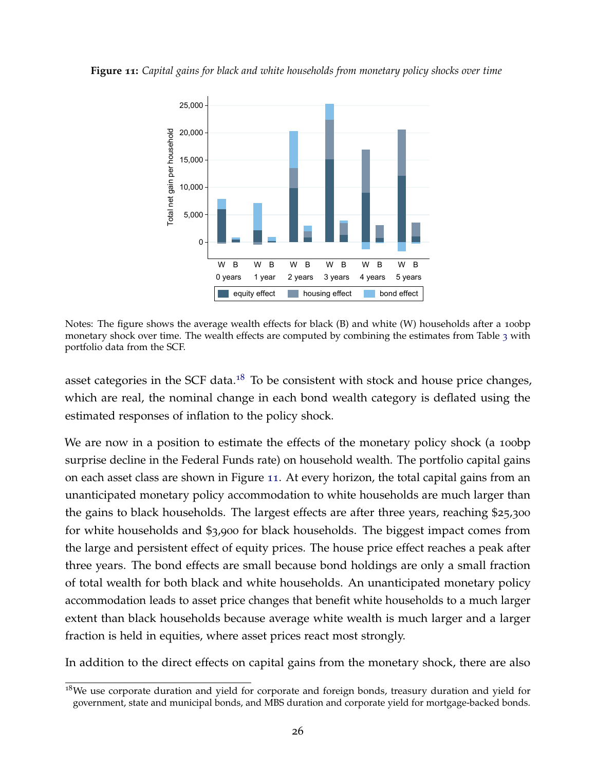<span id="page-28-0"></span>**Figure 11:** *Capital gains for black and white households from monetary policy shocks over time*



Notes: The figure shows the average wealth effects for black (B) and white (W) households after a 100 bp monetary shock over time. The wealth effects are computed by combining the estimates from Table [3](#page-25-0) with portfolio data from the SCF.

asset categories in the SCF data.<sup>[18](#page-2-0)</sup> To be consistent with stock and house price changes, which are real, the nominal change in each bond wealth category is deflated using the estimated responses of inflation to the policy shock.

We are now in a position to estimate the effects of the monetary policy shock (a 100bp surprise decline in the Federal Funds rate) on household wealth. The portfolio capital gains on each asset class are shown in Figure [11](#page-28-0). At every horizon, the total capital gains from an unanticipated monetary policy accommodation to white households are much larger than the gains to black households. The largest effects are after three years, reaching \$25,300 for white households and \$3,900 for black households. The biggest impact comes from the large and persistent effect of equity prices. The house price effect reaches a peak after three years. The bond effects are small because bond holdings are only a small fraction of total wealth for both black and white households. An unanticipated monetary policy accommodation leads to asset price changes that benefit white households to a much larger extent than black households because average white wealth is much larger and a larger fraction is held in equities, where asset prices react most strongly.

In addition to the direct effects on capital gains from the monetary shock, there are also

 $18$ We use corporate duration and yield for corporate and foreign bonds, treasury duration and yield for government, state and municipal bonds, and MBS duration and corporate yield for mortgage-backed bonds.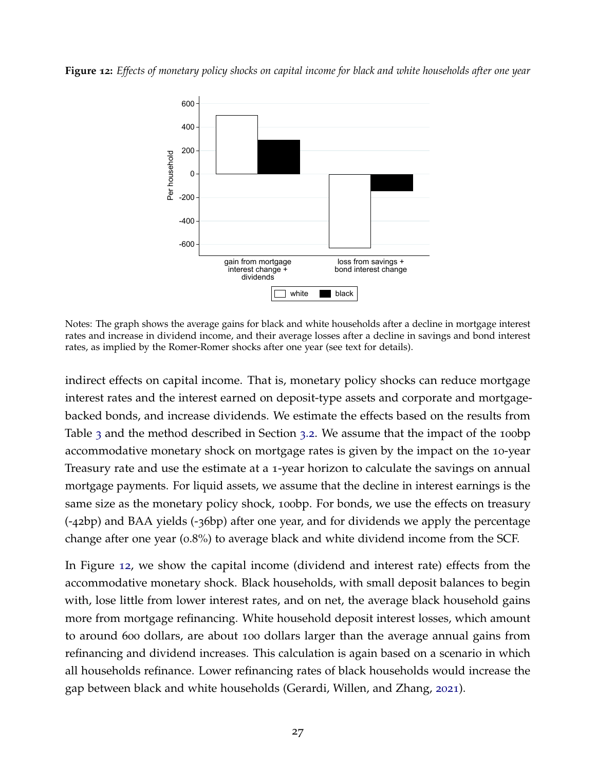<span id="page-29-0"></span>**Figure 12:** *Effects of monetary policy shocks on capital income for black and white households after one year*



Notes: The graph shows the average gains for black and white households after a decline in mortgage interest rates and increase in dividend income, and their average losses after a decline in savings and bond interest rates, as implied by the Romer-Romer shocks after one year (see text for details).

indirect effects on capital income. That is, monetary policy shocks can reduce mortgage interest rates and the interest earned on deposit-type assets and corporate and mortgagebacked bonds, and increase dividends. We estimate the effects based on the results from Table [3](#page-18-0) and the method described in Section 3.2. We assume that the impact of the 100 bp accommodative monetary shock on mortgage rates is given by the impact on the 10-year Treasury rate and use the estimate at a 1-year horizon to calculate the savings on annual mortgage payments. For liquid assets, we assume that the decline in interest earnings is the same size as the monetary policy shock, 100bp. For bonds, we use the effects on treasury (-42bp) and BAA yields (-36bp) after one year, and for dividends we apply the percentage change after one year (0.8%) to average black and white dividend income from the SCF.

In Figure [12](#page-29-0), we show the capital income (dividend and interest rate) effects from the accommodative monetary shock. Black households, with small deposit balances to begin with, lose little from lower interest rates, and on net, the average black household gains more from mortgage refinancing. White household deposit interest losses, which amount to around 600 dollars, are about 100 dollars larger than the average annual gains from refinancing and dividend increases. This calculation is again based on a scenario in which all households refinance. Lower refinancing rates of black households would increase the gap between black and white households (Gerardi, Willen, and Zhang, [2021](#page-43-11)).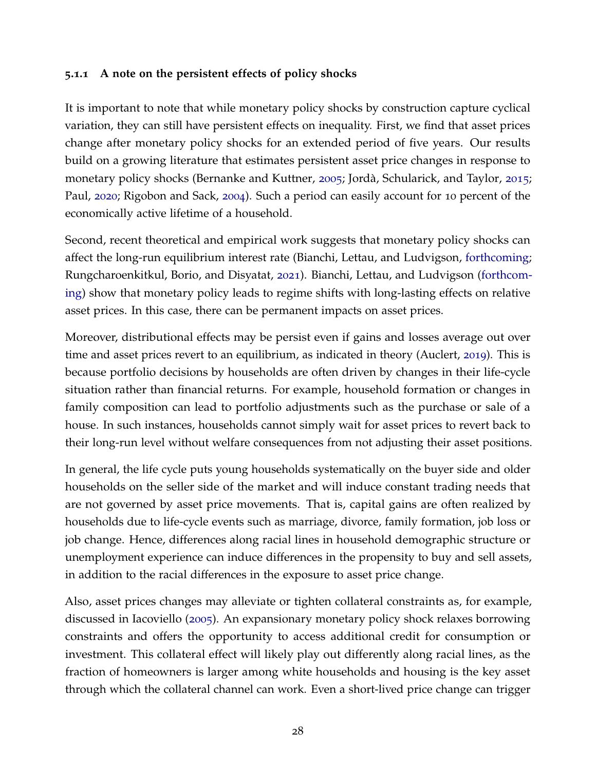#### **5.1.1 A note on the persistent effects of policy shocks**

It is important to note that while monetary policy shocks by construction capture cyclical variation, they can still have persistent effects on inequality. First, we find that asset prices change after monetary policy shocks for an extended period of five years. Our results build on a growing literature that estimates persistent asset price changes in response to monetary policy shocks (Bernanke and Kuttner, [2005](#page-41-13); Jordà, Schularick, and Taylor, [2015](#page-43-12); Paul, [2020](#page-44-2); Rigobon and Sack, [2004](#page-44-7)). Such a period can easily account for 10 percent of the economically active lifetime of a household.

Second, recent theoretical and empirical work suggests that monetary policy shocks can affect the long-run equilibrium interest rate (Bianchi, Lettau, and Ludvigson, [forthcoming;](#page-42-10) Rungcharoenkitkul, Borio, and Disyatat, [2021](#page-44-10)). Bianchi, Lettau, and Ludvigson [\(forthcom](#page-42-10)[ing\)](#page-42-10) show that monetary policy leads to regime shifts with long-lasting effects on relative asset prices. In this case, there can be permanent impacts on asset prices.

Moreover, distributional effects may be persist even if gains and losses average out over time and asset prices revert to an equilibrium, as indicated in theory (Auclert, [2019](#page-41-4)). This is because portfolio decisions by households are often driven by changes in their life-cycle situation rather than financial returns. For example, household formation or changes in family composition can lead to portfolio adjustments such as the purchase or sale of a house. In such instances, households cannot simply wait for asset prices to revert back to their long-run level without welfare consequences from not adjusting their asset positions.

In general, the life cycle puts young households systematically on the buyer side and older households on the seller side of the market and will induce constant trading needs that are not governed by asset price movements. That is, capital gains are often realized by households due to life-cycle events such as marriage, divorce, family formation, job loss or job change. Hence, differences along racial lines in household demographic structure or unemployment experience can induce differences in the propensity to buy and sell assets, in addition to the racial differences in the exposure to asset price change.

Also, asset prices changes may alleviate or tighten collateral constraints as, for example, discussed in Iacoviello ([2005](#page-43-13)). An expansionary monetary policy shock relaxes borrowing constraints and offers the opportunity to access additional credit for consumption or investment. This collateral effect will likely play out differently along racial lines, as the fraction of homeowners is larger among white households and housing is the key asset through which the collateral channel can work. Even a short-lived price change can trigger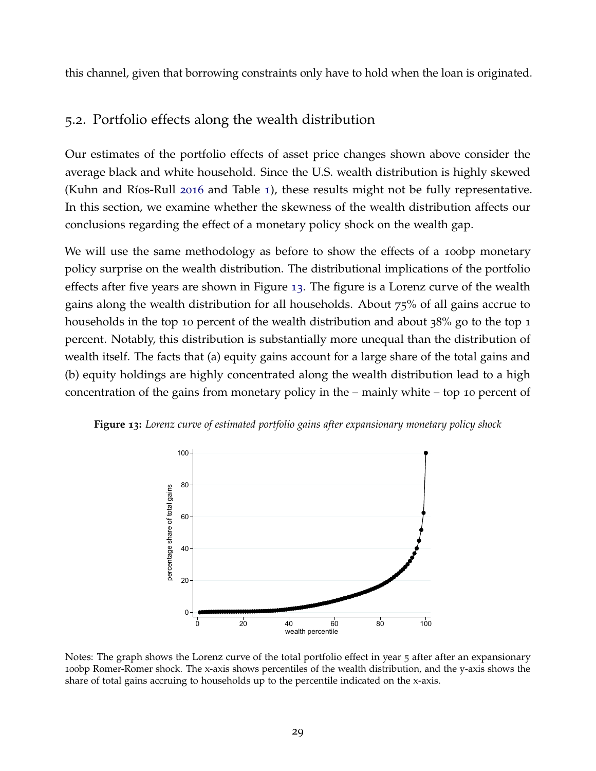this channel, given that borrowing constraints only have to hold when the loan is originated.

# 5.2. Portfolio effects along the wealth distribution

Our estimates of the portfolio effects of asset price changes shown above consider the average black and white household. Since the U.S. wealth distribution is highly skewed (Kuhn and Ríos-Rull [2016](#page-44-6) and Table [1](#page-10-0)), these results might not be fully representative. In this section, we examine whether the skewness of the wealth distribution affects our conclusions regarding the effect of a monetary policy shock on the wealth gap.

We will use the same methodology as before to show the effects of a 100bp monetary policy surprise on the wealth distribution. The distributional implications of the portfolio effects after five years are shown in Figure [13](#page-31-0). The figure is a Lorenz curve of the wealth gains along the wealth distribution for all households. About 75% of all gains accrue to households in the top 10 percent of the wealth distribution and about 38% go to the top 1 percent. Notably, this distribution is substantially more unequal than the distribution of wealth itself. The facts that (a) equity gains account for a large share of the total gains and (b) equity holdings are highly concentrated along the wealth distribution lead to a high concentration of the gains from monetary policy in the – mainly white – top 10 percent of

<span id="page-31-0"></span>



Notes: The graph shows the Lorenz curve of the total portfolio effect in year 5 after after an expansionary 100bp Romer-Romer shock. The x-axis shows percentiles of the wealth distribution, and the y-axis shows the share of total gains accruing to households up to the percentile indicated on the x-axis.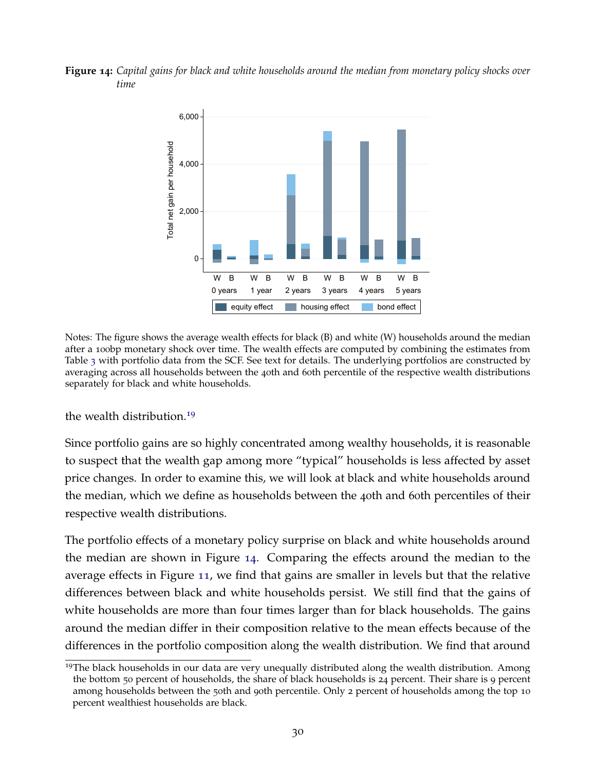<span id="page-32-0"></span>**Figure 14:** *Capital gains for black and white households around the median from monetary policy shocks over time*



Notes: The figure shows the average wealth effects for black (B) and white (W) households around the median after a 100bp monetary shock over time. The wealth effects are computed by combining the estimates from Table [3](#page-25-0) with portfolio data from the SCF. See text for details. The underlying portfolios are constructed by averaging across all households between the 40th and 60th percentile of the respective wealth distributions separately for black and white households.

the wealth distribution.[19](#page-2-0)

Since portfolio gains are so highly concentrated among wealthy households, it is reasonable to suspect that the wealth gap among more "typical" households is less affected by asset price changes. In order to examine this, we will look at black and white households around the median, which we define as households between the 40th and 60th percentiles of their respective wealth distributions.

The portfolio effects of a monetary policy surprise on black and white households around the median are shown in Figure [14](#page-32-0). Comparing the effects around the median to the average effects in Figure [11](#page-28-0), we find that gains are smaller in levels but that the relative differences between black and white households persist. We still find that the gains of white households are more than four times larger than for black households. The gains around the median differ in their composition relative to the mean effects because of the differences in the portfolio composition along the wealth distribution. We find that around

<sup>&</sup>lt;sup>19</sup>The black households in our data are very unequally distributed along the wealth distribution. Among the bottom 50 percent of households, the share of black households is 24 percent. Their share is 9 percent among households between the 50th and 90th percentile. Only 2 percent of households among the top 10 percent wealthiest households are black.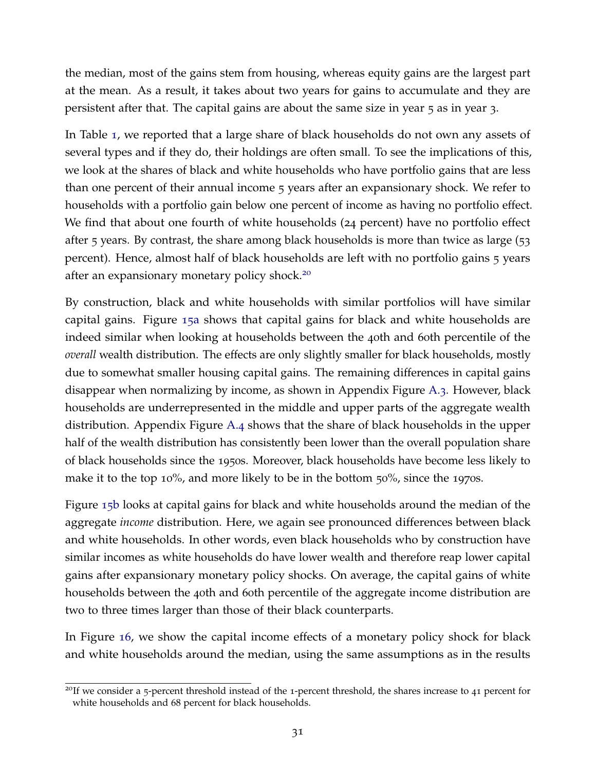the median, most of the gains stem from housing, whereas equity gains are the largest part at the mean. As a result, it takes about two years for gains to accumulate and they are persistent after that. The capital gains are about the same size in year 5 as in year 3.

In Table [1](#page-10-0), we reported that a large share of black households do not own any assets of several types and if they do, their holdings are often small. To see the implications of this, we look at the shares of black and white households who have portfolio gains that are less than one percent of their annual income 5 years after an expansionary shock. We refer to households with a portfolio gain below one percent of income as having no portfolio effect. We find that about one fourth of white households (24 percent) have no portfolio effect after 5 years. By contrast, the share among black households is more than twice as large (53 percent). Hence, almost half of black households are left with no portfolio gains 5 years after an expansionary monetary policy shock.<sup>[20](#page-2-0)</sup>

By construction, black and white households with similar portfolios will have similar capital gains. Figure [15](#page-34-0)a shows that capital gains for black and white households are indeed similar when looking at households between the 40th and 60th percentile of the *overall* wealth distribution. The effects are only slightly smaller for black households, mostly due to somewhat smaller housing capital gains. The remaining differences in capital gains disappear when normalizing by income, as shown in Appendix Figure [A.](#page-47-0)3. However, black households are underrepresented in the middle and upper parts of the aggregate wealth distribution. Appendix Figure [A.](#page-47-1)4 shows that the share of black households in the upper half of the wealth distribution has consistently been lower than the overall population share of black households since the 1950s. Moreover, black households have become less likely to make it to the top 10%, and more likely to be in the bottom 50%, since the 1970s.

Figure [15](#page-34-0)b looks at capital gains for black and white households around the median of the aggregate *income* distribution. Here, we again see pronounced differences between black and white households. In other words, even black households who by construction have similar incomes as white households do have lower wealth and therefore reap lower capital gains after expansionary monetary policy shocks. On average, the capital gains of white households between the 40th and 60th percentile of the aggregate income distribution are two to three times larger than those of their black counterparts.

In Figure [16](#page-35-0), we show the capital income effects of a monetary policy shock for black and white households around the median, using the same assumptions as in the results

<sup>&</sup>lt;sup>20</sup>If we consider a 5-percent threshold instead of the 1-percent threshold, the shares increase to 41 percent for white households and 68 percent for black households.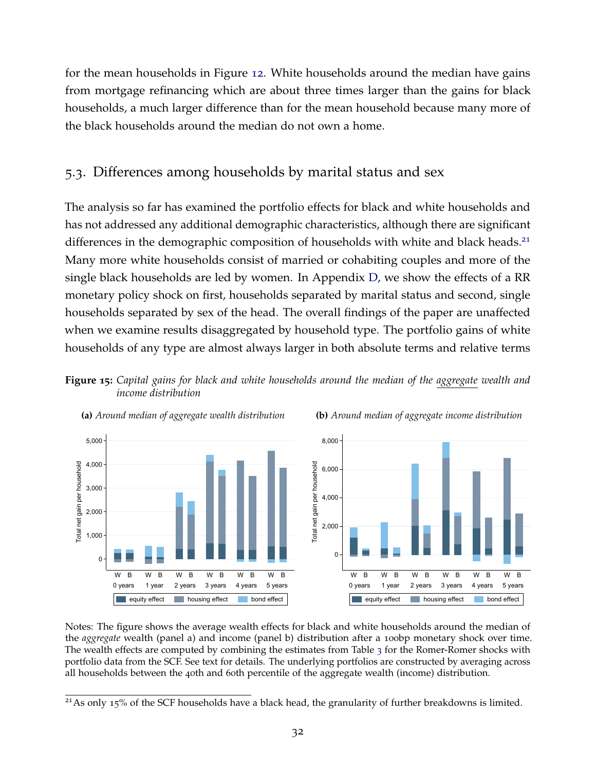for the mean households in Figure [12](#page-29-0). White households around the median have gains from mortgage refinancing which are about three times larger than the gains for black households, a much larger difference than for the mean household because many more of the black households around the median do not own a home.

# 5.3. Differences among households by marital status and sex

The analysis so far has examined the portfolio effects for black and white households and has not addressed any additional demographic characteristics, although there are significant differences in the demographic composition of households with white and black heads. $21$ Many more white households consist of married or cohabiting couples and more of the single black households are led by women. In Appendix [D,](#page-49-1) we show the effects of a RR monetary policy shock on first, households separated by marital status and second, single households separated by sex of the head. The overall findings of the paper are unaffected when we examine results disaggregated by household type. The portfolio gains of white households of any type are almost always larger in both absolute terms and relative terms

<span id="page-34-0"></span>



**(a)** *Around median of aggregate wealth distribution*



Notes: The figure shows the average wealth effects for black and white households around the median of the *aggregate* wealth (panel a) and income (panel b) distribution after a 100bp monetary shock over time. The wealth effects are computed by combining the estimates from Table [3](#page-25-0) for the Romer-Romer shocks with portfolio data from the SCF. See text for details. The underlying portfolios are constructed by averaging across all households between the 40th and 60th percentile of the aggregate wealth (income) distribution.

<sup>&</sup>lt;sup>21</sup> As only 15% of the SCF households have a black head, the granularity of further breakdowns is limited.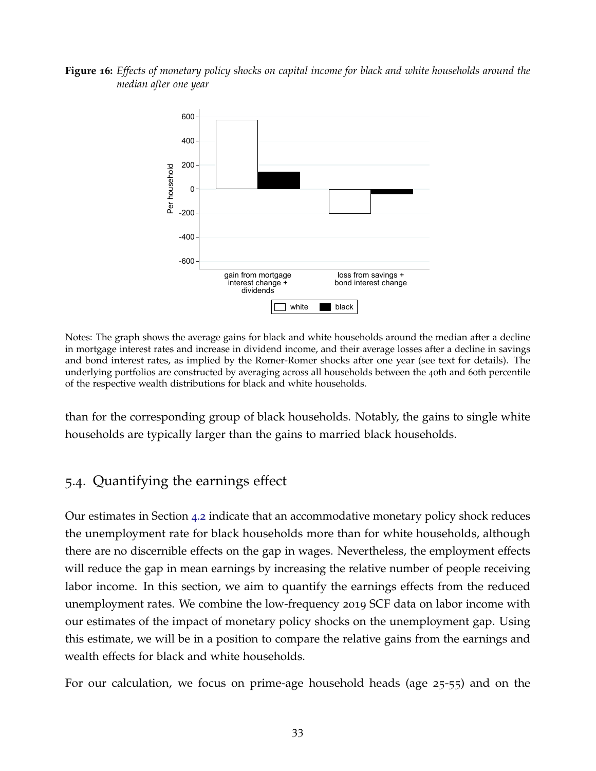#### <span id="page-35-0"></span>**Figure 16:** *Effects of monetary policy shocks on capital income for black and white households around the median after one year*



Notes: The graph shows the average gains for black and white households around the median after a decline in mortgage interest rates and increase in dividend income, and their average losses after a decline in savings and bond interest rates, as implied by the Romer-Romer shocks after one year (see text for details). The underlying portfolios are constructed by averaging across all households between the 40th and 60th percentile of the respective wealth distributions for black and white households.

<span id="page-35-1"></span>than for the corresponding group of black households. Notably, the gains to single white households are typically larger than the gains to married black households.

# 5.4. Quantifying the earnings effect

Our estimates in Section [4](#page-23-1).2 indicate that an accommodative monetary policy shock reduces the unemployment rate for black households more than for white households, although there are no discernible effects on the gap in wages. Nevertheless, the employment effects will reduce the gap in mean earnings by increasing the relative number of people receiving labor income. In this section, we aim to quantify the earnings effects from the reduced unemployment rates. We combine the low-frequency 2019 SCF data on labor income with our estimates of the impact of monetary policy shocks on the unemployment gap. Using this estimate, we will be in a position to compare the relative gains from the earnings and wealth effects for black and white households.

For our calculation, we focus on prime-age household heads (age 25-55) and on the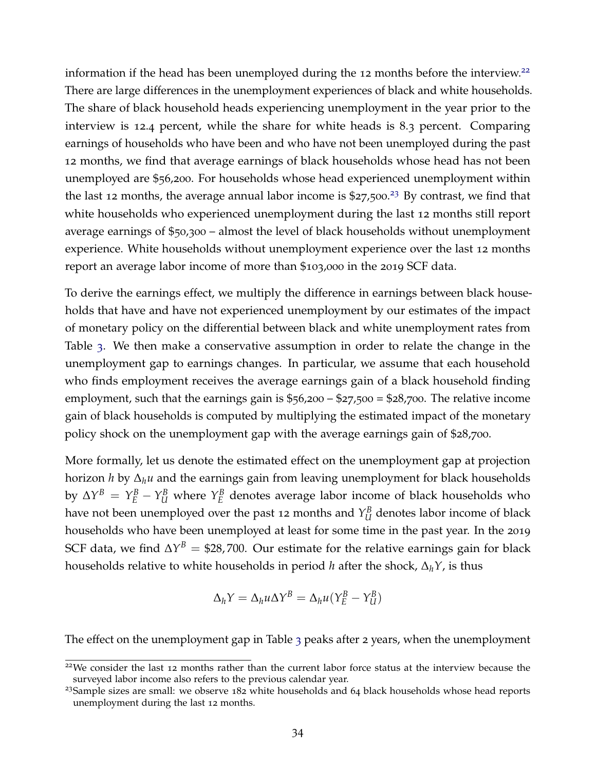information if the head has been unemployed during the 12 months before the interview.<sup>[22](#page-2-0)</sup> There are large differences in the unemployment experiences of black and white households. The share of black household heads experiencing unemployment in the year prior to the interview is 12.4 percent, while the share for white heads is 8.3 percent. Comparing earnings of households who have been and who have not been unemployed during the past 12 months, we find that average earnings of black households whose head has not been unemployed are \$56,200. For households whose head experienced unemployment within the last 12 months, the average annual labor income is  $$27,500.<sup>23</sup>$  $$27,500.<sup>23</sup>$  $$27,500.<sup>23</sup>$  By contrast, we find that white households who experienced unemployment during the last 12 months still report average earnings of \$50,300 – almost the level of black households without unemployment experience. White households without unemployment experience over the last 12 months report an average labor income of more than \$103,000 in the 2019 SCF data.

To derive the earnings effect, we multiply the difference in earnings between black households that have and have not experienced unemployment by our estimates of the impact of monetary policy on the differential between black and white unemployment rates from Table [3](#page-25-0). We then make a conservative assumption in order to relate the change in the unemployment gap to earnings changes. In particular, we assume that each household who finds employment receives the average earnings gain of a black household finding employment, such that the earnings gain is  $$56,200 - $27,500 = $28,700$ . The relative income gain of black households is computed by multiplying the estimated impact of the monetary policy shock on the unemployment gap with the average earnings gain of \$28,700.

More formally, let us denote the estimated effect on the unemployment gap at projection horizon *h* by ∆*hu* and the earnings gain from leaving unemployment for black households by  $\Delta Y^B = Y_E^B - Y_U^B$  where  $Y_E^B$ *E* denotes average labor income of black households who have not been unemployed over the past 12 months and  $Y^B_{IJ}$  $U_U^B$  denotes labor income of black households who have been unemployed at least for some time in the past year. In the 2019 SCF data, we find  $\Delta Y^B = $28,700$ . Our estimate for the relative earnings gain for black households relative to white households in period *h* after the shock, ∆*hY*, is thus

$$
\Delta_h Y = \Delta_h u \Delta Y^B = \Delta_h u (Y_E^B - Y_U^B)
$$

The effect on the unemployment gap in Table [3](#page-25-0) peaks after 2 years, when the unemployment

<sup>&</sup>lt;sup>22</sup>We consider the last 12 months rather than the current labor force status at the interview because the surveyed labor income also refers to the previous calendar year.

 $23$ Sample sizes are small: we observe  $182$  white households and  $64$  black households whose head reports unemployment during the last 12 months.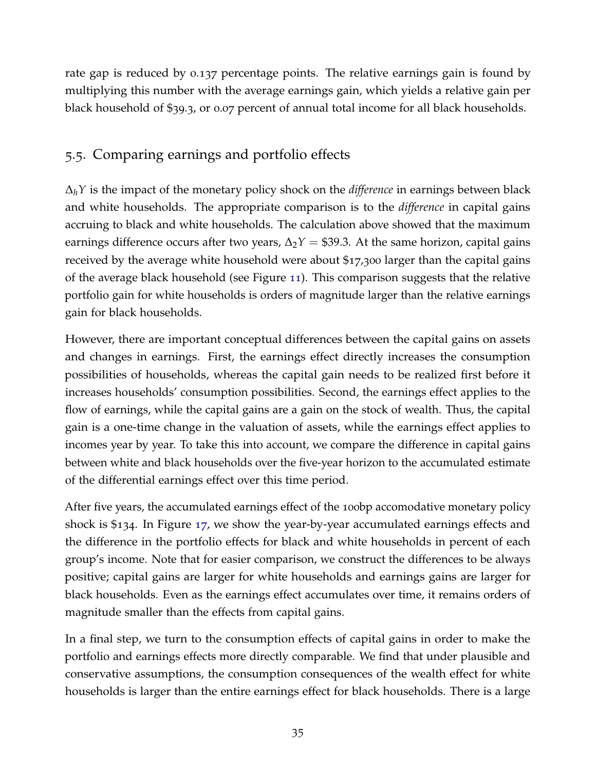rate gap is reduced by 0.137 percentage points. The relative earnings gain is found by multiplying this number with the average earnings gain, which yields a relative gain per black household of \$39.3, or 0.07 percent of annual total income for all black households.

# 5.5. Comparing earnings and portfolio effects

∆*hY* is the impact of the monetary policy shock on the *difference* in earnings between black and white households. The appropriate comparison is to the *difference* in capital gains accruing to black and white households. The calculation above showed that the maximum earnings difference occurs after two years,  $\Delta_2 Y = $39.3$ . At the same horizon, capital gains received by the average white household were about \$17,300 larger than the capital gains of the average black household (see Figure [11](#page-28-0)). This comparison suggests that the relative portfolio gain for white households is orders of magnitude larger than the relative earnings gain for black households.

However, there are important conceptual differences between the capital gains on assets and changes in earnings. First, the earnings effect directly increases the consumption possibilities of households, whereas the capital gain needs to be realized first before it increases households' consumption possibilities. Second, the earnings effect applies to the flow of earnings, while the capital gains are a gain on the stock of wealth. Thus, the capital gain is a one-time change in the valuation of assets, while the earnings effect applies to incomes year by year. To take this into account, we compare the difference in capital gains between white and black households over the five-year horizon to the accumulated estimate of the differential earnings effect over this time period.

After five years, the accumulated earnings effect of the 100bp accomodative monetary policy shock is \$134. In Figure [17](#page-38-0), we show the year-by-year accumulated earnings effects and the difference in the portfolio effects for black and white households in percent of each group's income. Note that for easier comparison, we construct the differences to be always positive; capital gains are larger for white households and earnings gains are larger for black households. Even as the earnings effect accumulates over time, it remains orders of magnitude smaller than the effects from capital gains.

In a final step, we turn to the consumption effects of capital gains in order to make the portfolio and earnings effects more directly comparable. We find that under plausible and conservative assumptions, the consumption consequences of the wealth effect for white households is larger than the entire earnings effect for black households. There is a large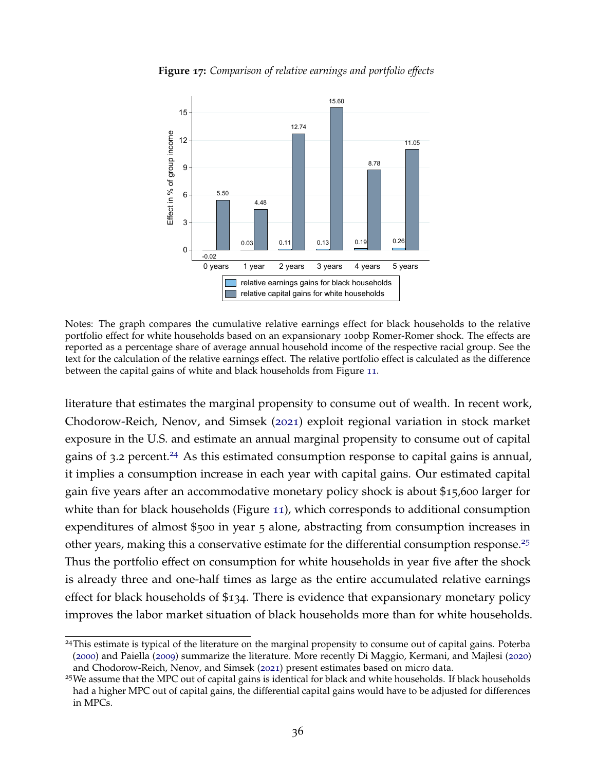<span id="page-38-0"></span>

**Figure 17:** *Comparison of relative earnings and portfolio effects*

Notes: The graph compares the cumulative relative earnings effect for black households to the relative portfolio effect for white households based on an expansionary 100bp Romer-Romer shock. The effects are reported as a percentage share of average annual household income of the respective racial group. See the text for the calculation of the relative earnings effect. The relative portfolio effect is calculated as the difference between the capital gains of white and black households from Figure [11](#page-28-0).

literature that estimates the marginal propensity to consume out of wealth. In recent work, Chodorow-Reich, Nenov, and Simsek ([2021](#page-42-11)) exploit regional variation in stock market exposure in the U.S. and estimate an annual marginal propensity to consume out of capital gains of 3.2 percent.<sup>[24](#page-2-0)</sup> As this estimated consumption response to capital gains is annual, it implies a consumption increase in each year with capital gains. Our estimated capital gain five years after an accommodative monetary policy shock is about \$15,600 larger for white than for black households (Figure [11](#page-28-0)), which corresponds to additional consumption expenditures of almost \$500 in year 5 alone, abstracting from consumption increases in other years, making this a conservative estimate for the differential consumption response.<sup>[25](#page-2-0)</sup> Thus the portfolio effect on consumption for white households in year five after the shock is already three and one-half times as large as the entire accumulated relative earnings effect for black households of \$134. There is evidence that expansionary monetary policy improves the labor market situation of black households more than for white households.

<sup>&</sup>lt;sup>24</sup>This estimate is typical of the literature on the marginal propensity to consume out of capital gains. Poterba ([2000](#page-44-11)) and Paiella ([2009](#page-44-12)) summarize the literature. More recently Di Maggio, Kermani, and Majlesi ([2020](#page-42-12)) and Chodorow-Reich, Nenov, and Simsek ([2021](#page-42-11)) present estimates based on micro data.

<sup>&</sup>lt;sup>25</sup>We assume that the MPC out of capital gains is identical for black and white households. If black households had a higher MPC out of capital gains, the differential capital gains would have to be adjusted for differences in MPCs.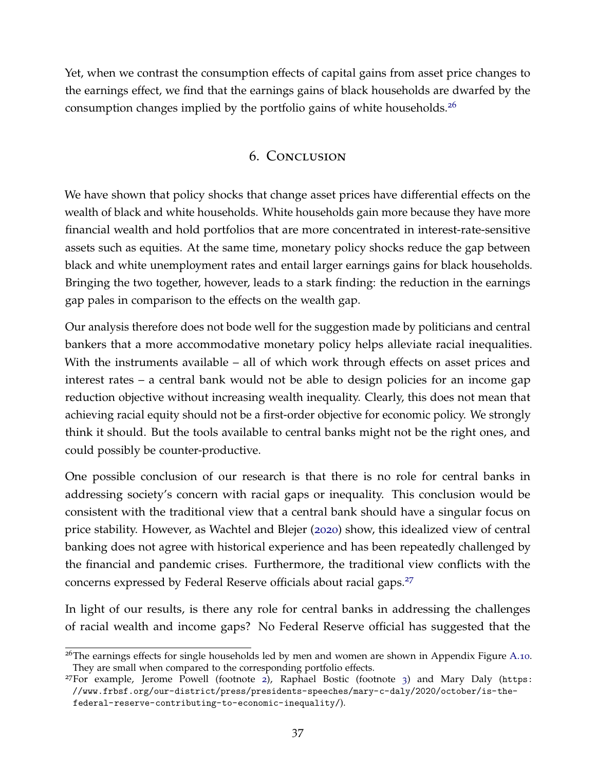Yet, when we contrast the consumption effects of capital gains from asset price changes to the earnings effect, we find that the earnings gains of black households are dwarfed by the consumption changes implied by the portfolio gains of white households.[26](#page-2-0)

# 6. Conclusion

We have shown that policy shocks that change asset prices have differential effects on the wealth of black and white households. White households gain more because they have more financial wealth and hold portfolios that are more concentrated in interest-rate-sensitive assets such as equities. At the same time, monetary policy shocks reduce the gap between black and white unemployment rates and entail larger earnings gains for black households. Bringing the two together, however, leads to a stark finding: the reduction in the earnings gap pales in comparison to the effects on the wealth gap.

Our analysis therefore does not bode well for the suggestion made by politicians and central bankers that a more accommodative monetary policy helps alleviate racial inequalities. With the instruments available – all of which work through effects on asset prices and interest rates – a central bank would not be able to design policies for an income gap reduction objective without increasing wealth inequality. Clearly, this does not mean that achieving racial equity should not be a first-order objective for economic policy. We strongly think it should. But the tools available to central banks might not be the right ones, and could possibly be counter-productive.

One possible conclusion of our research is that there is no role for central banks in addressing society's concern with racial gaps or inequality. This conclusion would be consistent with the traditional view that a central bank should have a singular focus on price stability. However, as Wachtel and Blejer ([2020](#page-45-6)) show, this idealized view of central banking does not agree with historical experience and has been repeatedly challenged by the financial and pandemic crises. Furthermore, the traditional view conflicts with the concerns expressed by Federal Reserve officials about racial gaps.[27](#page-2-0)

In light of our results, is there any role for central banks in addressing the challenges of racial wealth and income gaps? No Federal Reserve official has suggested that the

<sup>&</sup>lt;sup>26</sup>The earnings effects for single households led by men and women are shown in Appendix Figure [A.](#page-54-0)10. They are small when compared to the corresponding portfolio effects.

<sup>27</sup>For example, Jerome Powell (footnote [2](#page-2-1)), Raphael Bostic (footnote [3](#page-3-0)) and Mary Daly ([https:](https://www.frbsf.org/our-district/press/presidents-speeches/mary-c-daly/2020/october/is-the-federal-reserve-contributing-to-economic-inequality/) [//www.frbsf.org/our-district/press/presidents-speeches/mary-c-daly/2020/october/is-the](https://www.frbsf.org/our-district/press/presidents-speeches/mary-c-daly/2020/october/is-the-federal-reserve-contributing-to-economic-inequality/)[federal-reserve-contributing-to-economic-inequality/](https://www.frbsf.org/our-district/press/presidents-speeches/mary-c-daly/2020/october/is-the-federal-reserve-contributing-to-economic-inequality/)).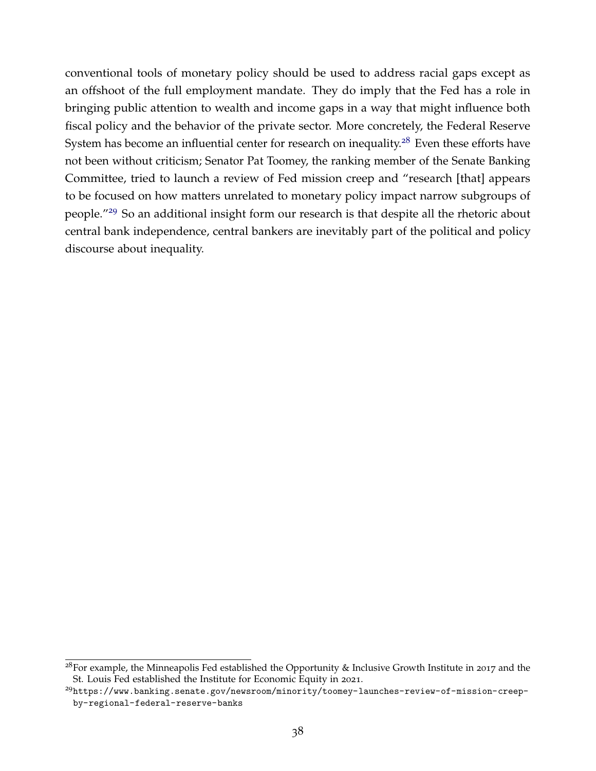conventional tools of monetary policy should be used to address racial gaps except as an offshoot of the full employment mandate. They do imply that the Fed has a role in bringing public attention to wealth and income gaps in a way that might influence both fiscal policy and the behavior of the private sector. More concretely, the Federal Reserve System has become an influential center for research on inequality.<sup>[28](#page-2-0)</sup> Even these efforts have not been without criticism; Senator Pat Toomey, the ranking member of the Senate Banking Committee, tried to launch a review of Fed mission creep and "research [that] appears to be focused on how matters unrelated to monetary policy impact narrow subgroups of people."[29](#page-2-0) So an additional insight form our research is that despite all the rhetoric about central bank independence, central bankers are inevitably part of the political and policy discourse about inequality.

<sup>&</sup>lt;sup>28</sup>For example, the Minneapolis Fed established the Opportunity & Inclusive Growth Institute in 2017 and the St. Louis Fed established the Institute for Economic Equity in 2021.

<sup>29</sup>[https://www.banking.senate.gov/newsroom/minority/toomey-launches-review-of-mission-creep](https://www.banking.senate.gov/newsroom/minority/toomey-launches-review-of-mission-creep-by-regional-federal-reserve-banks)[by-regional-federal-reserve-banks](https://www.banking.senate.gov/newsroom/minority/toomey-launches-review-of-mission-creep-by-regional-federal-reserve-banks)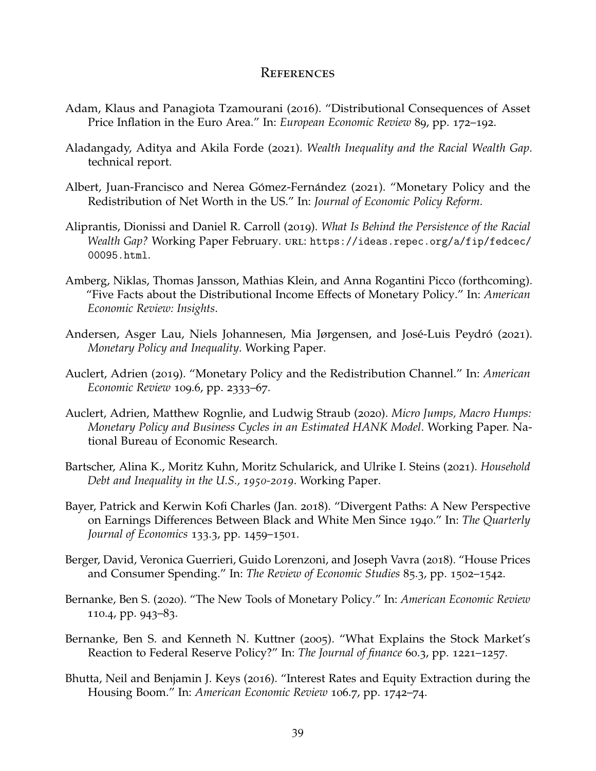# **REFERENCES**

- <span id="page-41-8"></span>Adam, Klaus and Panagiota Tzamourani (2016). "Distributional Consequences of Asset Price Inflation in the Euro Area." In: *European Economic Review* 89, pp. 172–192.
- <span id="page-41-10"></span>Aladangady, Aditya and Akila Forde (2021). *Wealth Inequality and the Racial Wealth Gap*. technical report.
- <span id="page-41-9"></span>Albert, Juan-Francisco and Nerea Gómez-Fernández (2021). "Monetary Policy and the Redistribution of Net Worth in the US." In: *Journal of Economic Policy Reform*.
- <span id="page-41-2"></span>Aliprantis, Dionissi and Daniel R. Carroll (2019). *What Is Behind the Persistence of the Racial Wealth Gap?* Working Paper February. URL: [https://ideas.repec.org/a/fip/fedcec/](https://ideas.repec.org/a/fip/fedcec/00095.html) [00095.html](https://ideas.repec.org/a/fip/fedcec/00095.html).
- <span id="page-41-7"></span>Amberg, Niklas, Thomas Jansson, Mathias Klein, and Anna Rogantini Picco (forthcoming). "Five Facts about the Distributional Income Effects of Monetary Policy." In: *American Economic Review: Insights*.
- <span id="page-41-6"></span>Andersen, Asger Lau, Niels Johannesen, Mia Jørgensen, and José-Luis Peydró (2021). *Monetary Policy and Inequality*. Working Paper.
- <span id="page-41-4"></span>Auclert, Adrien (2019). "Monetary Policy and the Redistribution Channel." In: *American Economic Review* 109.6, pp. 2333–67.
- <span id="page-41-5"></span>Auclert, Adrien, Matthew Rognlie, and Ludwig Straub (2020). *Micro Jumps, Macro Humps: Monetary Policy and Business Cycles in an Estimated HANK Model*. Working Paper. National Bureau of Economic Research.
- <span id="page-41-12"></span>Bartscher, Alina K., Moritz Kuhn, Moritz Schularick, and Ulrike I. Steins (2021). *Household Debt and Inequality in the U.S., 1950-2019*. Working Paper.
- <span id="page-41-0"></span>Bayer, Patrick and Kerwin Kofi Charles (Jan. 2018). "Divergent Paths: A New Perspective on Earnings Differences Between Black and White Men Since 1940." In: *The Quarterly Journal of Economics* 133.3, pp. 1459–1501.
- <span id="page-41-3"></span>Berger, David, Veronica Guerrieri, Guido Lorenzoni, and Joseph Vavra (2018). "House Prices and Consumer Spending." In: *The Review of Economic Studies* 85.3, pp. 1502–1542.
- <span id="page-41-1"></span>Bernanke, Ben S. (2020). "The New Tools of Monetary Policy." In: *American Economic Review* 110.4, pp. 943–83.
- <span id="page-41-13"></span>Bernanke, Ben S. and Kenneth N. Kuttner (2005). "What Explains the Stock Market's Reaction to Federal Reserve Policy?" In: *The Journal of finance* 60.3, pp. 1221–1257.
- <span id="page-41-11"></span>Bhutta, Neil and Benjamin J. Keys (2016). "Interest Rates and Equity Extraction during the Housing Boom." In: *American Economic Review* 106.7, pp. 1742–74.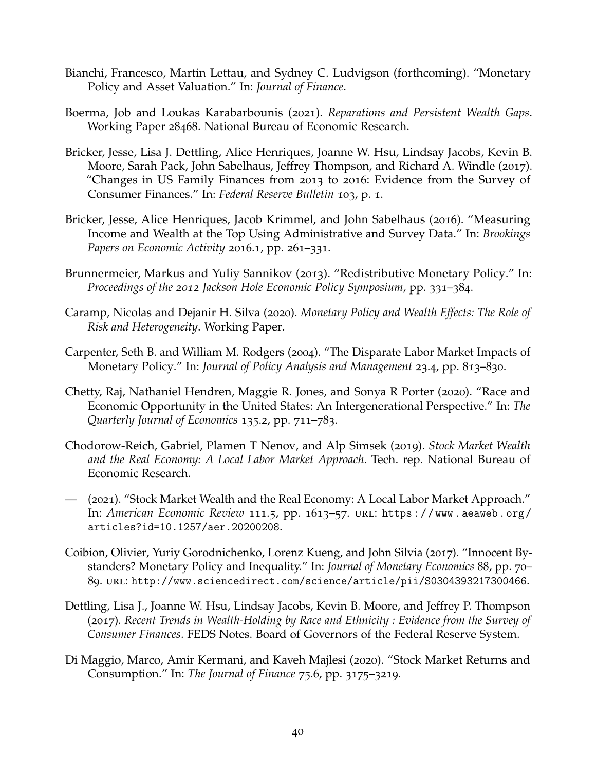- <span id="page-42-10"></span>Bianchi, Francesco, Martin Lettau, and Sydney C. Ludvigson (forthcoming). "Monetary Policy and Asset Valuation." In: *Journal of Finance*.
- <span id="page-42-7"></span>Boerma, Job and Loukas Karabarbounis (2021). *Reparations and Persistent Wealth Gaps*. Working Paper 28468. National Bureau of Economic Research.
- <span id="page-42-9"></span>Bricker, Jesse, Lisa J. Dettling, Alice Henriques, Joanne W. Hsu, Lindsay Jacobs, Kevin B. Moore, Sarah Pack, John Sabelhaus, Jeffrey Thompson, and Richard A. Windle (2017). "Changes in US Family Finances from 2013 to 2016: Evidence from the Survey of Consumer Finances." In: *Federal Reserve Bulletin* 103, p. 1.
- <span id="page-42-8"></span>Bricker, Jesse, Alice Henriques, Jacob Krimmel, and John Sabelhaus (2016). "Measuring Income and Wealth at the Top Using Administrative and Survey Data." In: *Brookings Papers on Economic Activity* 2016.1, pp. 261–331.
- <span id="page-42-4"></span>Brunnermeier, Markus and Yuliy Sannikov (2013). "Redistributive Monetary Policy." In: *Proceedings of the 2012 Jackson Hole Economic Policy Symposium*, pp. 331–384.
- <span id="page-42-6"></span>Caramp, Nicolas and Dejanir H. Silva (2020). *Monetary Policy and Wealth Effects: The Role of Risk and Heterogeneity*. Working Paper.
- <span id="page-42-2"></span>Carpenter, Seth B. and William M. Rodgers (2004). "The Disparate Labor Market Impacts of Monetary Policy." In: *Journal of Policy Analysis and Management* 23.4, pp. 813–830.
- <span id="page-42-1"></span>Chetty, Raj, Nathaniel Hendren, Maggie R. Jones, and Sonya R Porter (2020). "Race and Economic Opportunity in the United States: An Intergenerational Perspective." In: *The Quarterly Journal of Economics* 135.2, pp. 711–783.
- <span id="page-42-5"></span>Chodorow-Reich, Gabriel, Plamen T Nenov, and Alp Simsek (2019). *Stock Market Wealth and the Real Economy: A Local Labor Market Approach*. Tech. rep. National Bureau of Economic Research.
- <span id="page-42-11"></span>— (2021). "Stock Market Wealth and the Real Economy: A Local Labor Market Approach." In: *American Economic Review* 111.5, pp. 1613–57. url: [https : / / www . aeaweb . org /](https://www.aeaweb.org/articles?id=10.1257/aer.20200208) [articles?id=10.1257/aer.20200208](https://www.aeaweb.org/articles?id=10.1257/aer.20200208).
- <span id="page-42-3"></span>Coibion, Olivier, Yuriy Gorodnichenko, Lorenz Kueng, and John Silvia (2017). "Innocent Bystanders? Monetary Policy and Inequality." In: *Journal of Monetary Economics* 88, pp. 70– 89. url: <http://www.sciencedirect.com/science/article/pii/S0304393217300466>.
- <span id="page-42-0"></span>Dettling, Lisa J., Joanne W. Hsu, Lindsay Jacobs, Kevin B. Moore, and Jeffrey P. Thompson (2017). *Recent Trends in Wealth-Holding by Race and Ethnicity : Evidence from the Survey of Consumer Finances*. FEDS Notes. Board of Governors of the Federal Reserve System.
- <span id="page-42-12"></span>Di Maggio, Marco, Amir Kermani, and Kaveh Majlesi (2020). "Stock Market Returns and Consumption." In: *The Journal of Finance* 75.6, pp. 3175–3219.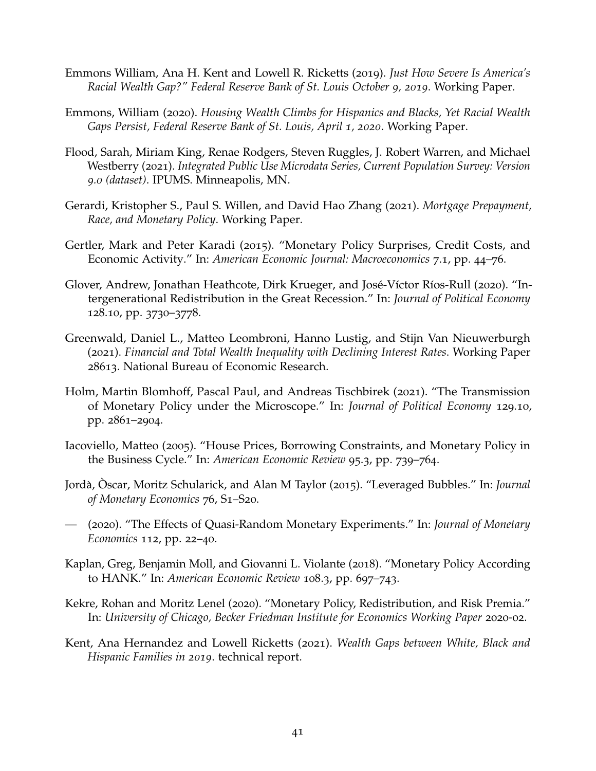- <span id="page-43-8"></span>Emmons William, Ana H. Kent and Lowell R. Ricketts (2019). *Just How Severe Is America's Racial Wealth Gap?" Federal Reserve Bank of St. Louis October 9, 2019*. Working Paper.
- <span id="page-43-0"></span>Emmons, William (2020). *Housing Wealth Climbs for Hispanics and Blacks, Yet Racial Wealth Gaps Persist, Federal Reserve Bank of St. Louis, April 1, 2020*. Working Paper.
- <span id="page-43-10"></span>Flood, Sarah, Miriam King, Renae Rodgers, Steven Ruggles, J. Robert Warren, and Michael Westberry (2021). *Integrated Public Use Microdata Series, Current Population Survey: Version 9.0 (dataset)*. IPUMS. Minneapolis, MN.
- <span id="page-43-11"></span>Gerardi, Kristopher S., Paul S. Willen, and David Hao Zhang (2021). *Mortgage Prepayment, Race, and Monetary Policy*. Working Paper.
- <span id="page-43-7"></span>Gertler, Mark and Peter Karadi (2015). "Monetary Policy Surprises, Credit Costs, and Economic Activity." In: *American Economic Journal: Macroeconomics* 7.1, pp. 44–76.
- <span id="page-43-5"></span>Glover, Andrew, Jonathan Heathcote, Dirk Krueger, and José-Víctor Ríos-Rull (2020). "Intergenerational Redistribution in the Great Recession." In: *Journal of Political Economy* 128.10, pp. 3730–3778.
- <span id="page-43-4"></span>Greenwald, Daniel L., Matteo Leombroni, Hanno Lustig, and Stijn Van Nieuwerburgh (2021). *Financial and Total Wealth Inequality with Declining Interest Rates*. Working Paper 28613. National Bureau of Economic Research.
- <span id="page-43-6"></span>Holm, Martin Blomhoff, Pascal Paul, and Andreas Tischbirek (2021). "The Transmission of Monetary Policy under the Microscope." In: *Journal of Political Economy* 129.10, pp. 2861–2904.
- <span id="page-43-13"></span>Iacoviello, Matteo (2005). "House Prices, Borrowing Constraints, and Monetary Policy in the Business Cycle." In: *American Economic Review* 95.3, pp. 739–764.
- <span id="page-43-12"></span>Jorda,` Oscar, Moritz Schularick, and Alan M Taylor ( ` 2015). "Leveraged Bubbles." In: *Journal of Monetary Economics* 76, S1–S20.
- <span id="page-43-2"></span>— (2020). "The Effects of Quasi-Random Monetary Experiments." In: *Journal of Monetary Economics* 112, pp. 22–40.
- <span id="page-43-1"></span>Kaplan, Greg, Benjamin Moll, and Giovanni L. Violante (2018). "Monetary Policy According to HANK." In: *American Economic Review* 108.3, pp. 697–743.
- <span id="page-43-3"></span>Kekre, Rohan and Moritz Lenel (2020). "Monetary Policy, Redistribution, and Risk Premia." In: *University of Chicago, Becker Friedman Institute for Economics Working Paper* 2020-02.
- <span id="page-43-9"></span>Kent, Ana Hernandez and Lowell Ricketts (2021). *Wealth Gaps between White, Black and Hispanic Families in 2019*. technical report.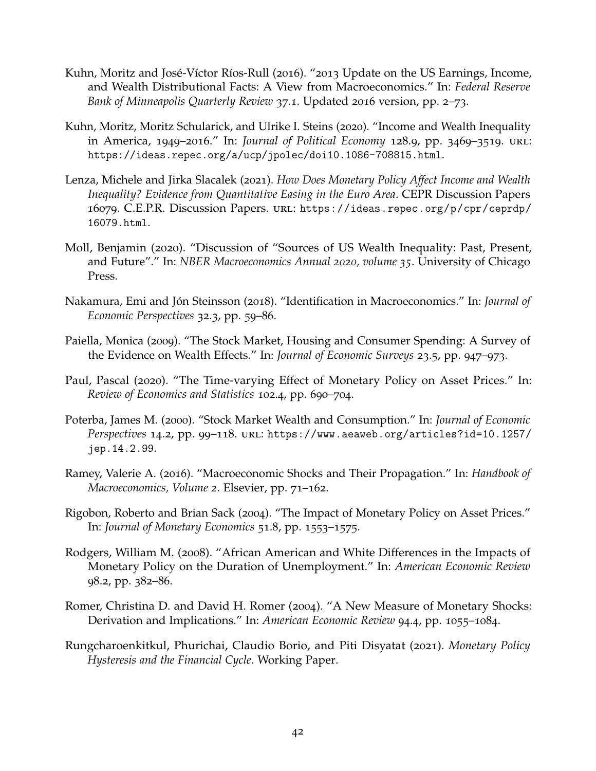- <span id="page-44-6"></span>Kuhn, Moritz and José-Víctor Ríos-Rull (2016). "2013 Update on the US Earnings, Income, and Wealth Distributional Facts: A View from Macroeconomics." In: *Federal Reserve Bank of Minneapolis Quarterly Review* 37.1. Updated 2016 version, pp. 2–73.
- <span id="page-44-0"></span>Kuhn, Moritz, Moritz Schularick, and Ulrike I. Steins (2020). "Income and Wealth Inequality in America, 1949–2016." In: *Journal of Political Economy* 128.9, pp. 3469–3519. url: <https://ideas.repec.org/a/ucp/jpolec/doi10.1086-708815.html>.
- <span id="page-44-4"></span>Lenza, Michele and Jirka Slacalek (2021). *How Does Monetary Policy Affect Income and Wealth Inequality? Evidence from Quantitative Easing in the Euro Area*. CEPR Discussion Papers 16079. C.E.P.R. Discussion Papers. url: [https://ideas.repec.org/p/cpr/ceprdp/](https://ideas.repec.org/p/cpr/ceprdp/16079.html) [16079.html](https://ideas.repec.org/p/cpr/ceprdp/16079.html).
- <span id="page-44-1"></span>Moll, Benjamin (2020). "Discussion of "Sources of US Wealth Inequality: Past, Present, and Future"." In: *NBER Macroeconomics Annual 2020, volume 35*. University of Chicago Press.
- <span id="page-44-8"></span>Nakamura, Emi and Jón Steinsson (2018). "Identification in Macroeconomics." In: *Journal of Economic Perspectives* 32.3, pp. 59–86.
- <span id="page-44-12"></span>Paiella, Monica (2009). "The Stock Market, Housing and Consumer Spending: A Survey of the Evidence on Wealth Effects." In: *Journal of Economic Surveys* 23.5, pp. 947–973.
- <span id="page-44-2"></span>Paul, Pascal (2020). "The Time-varying Effect of Monetary Policy on Asset Prices." In: *Review of Economics and Statistics* 102.4, pp. 690–704.
- <span id="page-44-11"></span>Poterba, James M. (2000). "Stock Market Wealth and Consumption." In: *Journal of Economic Perspectives* 14.2, pp. 99–118. url: [https://www.aeaweb.org/articles?id=10.1257/](https://www.aeaweb.org/articles?id=10.1257/jep.14.2.99) [jep.14.2.99](https://www.aeaweb.org/articles?id=10.1257/jep.14.2.99).
- <span id="page-44-9"></span>Ramey, Valerie A. (2016). "Macroeconomic Shocks and Their Propagation." In: *Handbook of Macroeconomics, Volume 2*. Elsevier, pp. 71–162.
- <span id="page-44-7"></span>Rigobon, Roberto and Brian Sack (2004). "The Impact of Monetary Policy on Asset Prices." In: *Journal of Monetary Economics* 51.8, pp. 1553–1575.
- <span id="page-44-5"></span>Rodgers, William M. (2008). "African American and White Differences in the Impacts of Monetary Policy on the Duration of Unemployment." In: *American Economic Review* 98.2, pp. 382–86.
- <span id="page-44-3"></span>Romer, Christina D. and David H. Romer (2004). "A New Measure of Monetary Shocks: Derivation and Implications." In: *American Economic Review* 94.4, pp. 1055–1084.
- <span id="page-44-10"></span>Rungcharoenkitkul, Phurichai, Claudio Borio, and Piti Disyatat (2021). *Monetary Policy Hysteresis and the Financial Cycle*. Working Paper.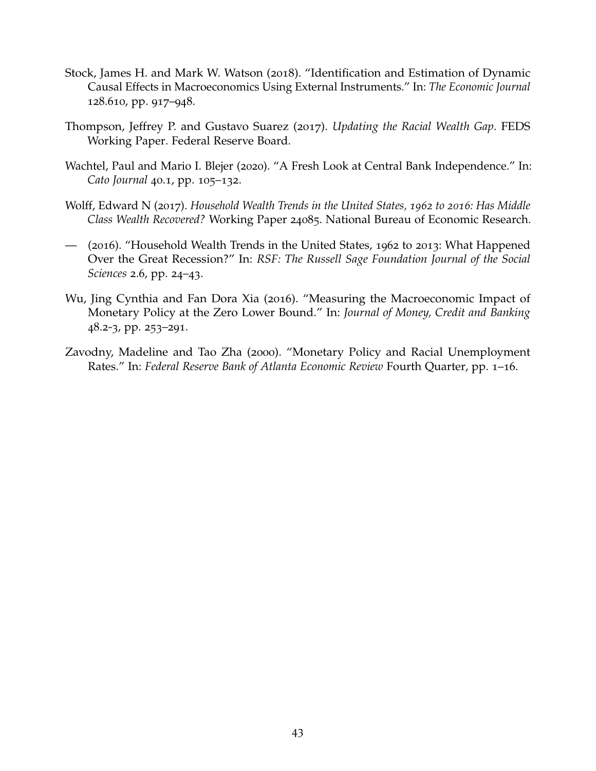- <span id="page-45-3"></span>Stock, James H. and Mark W. Watson (2018). "Identification and Estimation of Dynamic Causal Effects in Macroeconomics Using External Instruments." In: *The Economic Journal* 128.610, pp. 917–948.
- <span id="page-45-0"></span>Thompson, Jeffrey P. and Gustavo Suarez (2017). *Updating the Racial Wealth Gap*. FEDS Working Paper. Federal Reserve Board.
- <span id="page-45-6"></span>Wachtel, Paul and Mario I. Blejer (2020). "A Fresh Look at Central Bank Independence." In: *Cato Journal* 40.1, pp. 105–132.
- <span id="page-45-1"></span>Wolff, Edward N (2017). *Household Wealth Trends in the United States, 1962 to 2016: Has Middle Class Wealth Recovered?* Working Paper 24085. National Bureau of Economic Research.
- <span id="page-45-5"></span>— (2016). "Household Wealth Trends in the United States, 1962 to 2013: What Happened Over the Great Recession?" In: *RSF: The Russell Sage Foundation Journal of the Social Sciences* 2.6, pp. 24–43.
- <span id="page-45-2"></span>Wu, Jing Cynthia and Fan Dora Xia (2016). "Measuring the Macroeconomic Impact of Monetary Policy at the Zero Lower Bound." In: *Journal of Money, Credit and Banking* 48.2-3, pp. 253–291.
- <span id="page-45-4"></span>Zavodny, Madeline and Tao Zha (2000). "Monetary Policy and Racial Unemployment Rates." In: *Federal Reserve Bank of Atlanta Economic Review* Fourth Quarter, pp. 1–16.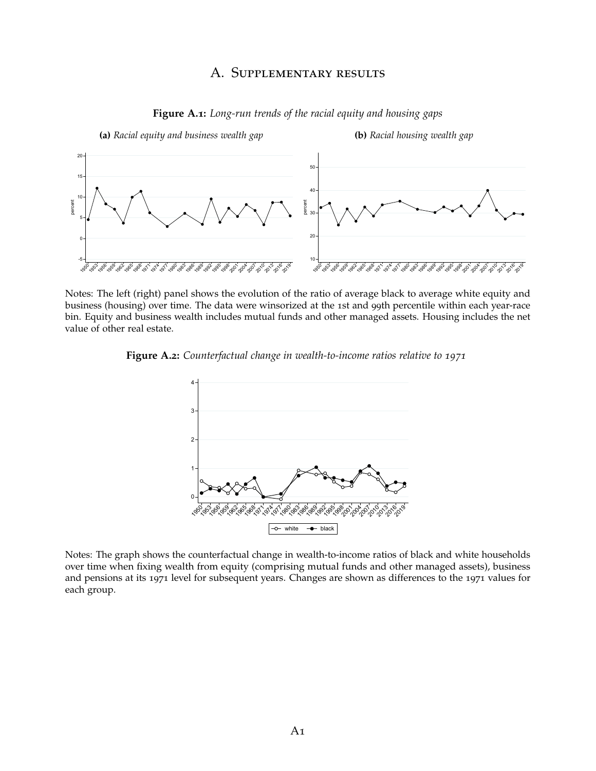#### A. Supplementary results

<span id="page-46-0"></span>

**Figure A.1:** *Long-run trends of the racial equity and housing gaps*

Notes: The left (right) panel shows the evolution of the ratio of average black to average white equity and business (housing) over time. The data were winsorized at the 1st and 99th percentile within each year-race bin. Equity and business wealth includes mutual funds and other managed assets. Housing includes the net value of other real estate.

<span id="page-46-1"></span>



Notes: The graph shows the counterfactual change in wealth-to-income ratios of black and white households over time when fixing wealth from equity (comprising mutual funds and other managed assets), business and pensions at its 1971 level for subsequent years. Changes are shown as differences to the 1971 values for each group.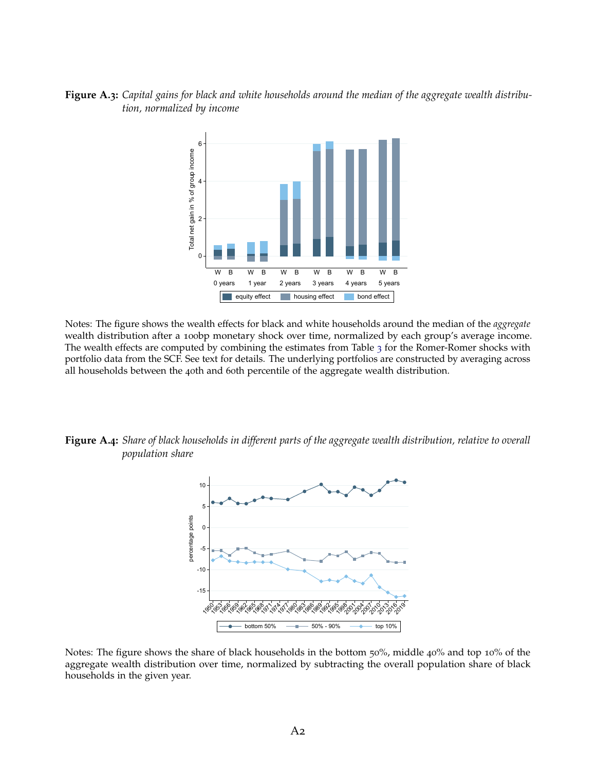#### <span id="page-47-0"></span>**Figure A.3:** *Capital gains for black and white households around the median of the aggregate wealth distribution, normalized by income*



Notes: The figure shows the wealth effects for black and white households around the median of the *aggregate* wealth distribution after a 100bp monetary shock over time, normalized by each group's average income. The wealth effects are computed by combining the estimates from Table [3](#page-25-0) for the Romer-Romer shocks with portfolio data from the SCF. See text for details. The underlying portfolios are constructed by averaging across all households between the 40th and 60th percentile of the aggregate wealth distribution.

<span id="page-47-1"></span>**Figure A.4:** *Share of black households in different parts of the aggregate wealth distribution, relative to overall population share*



Notes: The figure shows the share of black households in the bottom 50%, middle 40% and top 10% of the aggregate wealth distribution over time, normalized by subtracting the overall population share of black households in the given year.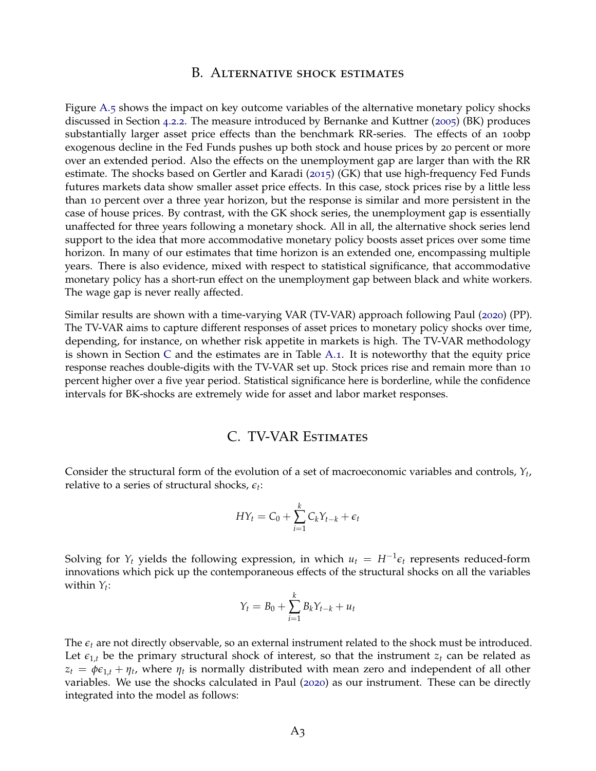#### B. Alternative shock estimates

<span id="page-48-0"></span>Figure [A.](#page-49-0)5 shows the impact on key outcome variables of the alternative monetary policy shocks discussed in Section [4](#page-26-1).2.2. The measure introduced by Bernanke and Kuttner ([2005](#page-41-13)) (BK) produces substantially larger asset price effects than the benchmark RR-series. The effects of an 100bp exogenous decline in the Fed Funds pushes up both stock and house prices by 20 percent or more over an extended period. Also the effects on the unemployment gap are larger than with the RR estimate. The shocks based on Gertler and Karadi ([2015](#page-43-7)) (GK) that use high-frequency Fed Funds futures markets data show smaller asset price effects. In this case, stock prices rise by a little less than 10 percent over a three year horizon, but the response is similar and more persistent in the case of house prices. By contrast, with the GK shock series, the unemployment gap is essentially unaffected for three years following a monetary shock. All in all, the alternative shock series lend support to the idea that more accommodative monetary policy boosts asset prices over some time horizon. In many of our estimates that time horizon is an extended one, encompassing multiple years. There is also evidence, mixed with respect to statistical significance, that accommodative monetary policy has a short-run effect on the unemployment gap between black and white workers. The wage gap is never really affected.

Similar results are shown with a time-varying VAR (TV-VAR) approach following Paul ([2020](#page-44-2)) (PP). The TV-VAR aims to capture different responses of asset prices to monetary policy shocks over time, depending, for instance, on whether risk appetite in markets is high. The TV-VAR methodology is shown in Section [C](#page-48-1) and the estimates are in Table [A.](#page-50-0)1. It is noteworthy that the equity price response reaches double-digits with the TV-VAR set up. Stock prices rise and remain more than 10 percent higher over a five year period. Statistical significance here is borderline, while the confidence intervals for BK-shocks are extremely wide for asset and labor market responses.

# C. TV-VAR Estimates

<span id="page-48-1"></span>Consider the structural form of the evolution of a set of macroeconomic variables and controls, *Y<sup>t</sup>* , relative to a series of structural shocks, *e<sup>t</sup>* :

$$
HY_t = C_0 + \sum_{i=1}^k C_k Y_{t-k} + \epsilon_t
$$

Solving for  $Y_t$  yields the following expression, in which  $u_t = H^{-1} \epsilon_t$  represents reduced-form innovations which pick up the contemporaneous effects of the structural shocks on all the variables within *Y<sup>t</sup>* :

$$
Y_t = B_0 + \sum_{i=1}^k B_k Y_{t-k} + u_t
$$

The  $\epsilon_t$  are not directly observable, so an external instrument related to the shock must be introduced. Let  $\epsilon_{1,t}$  be the primary structural shock of interest, so that the instrument  $z_t$  can be related as  $z_t = \phi \epsilon_{1,t} + \eta_t$ , where  $\eta_t$  is normally distributed with mean zero and independent of all other variables. We use the shocks calculated in Paul ([2020](#page-44-2)) as our instrument. These can be directly integrated into the model as follows: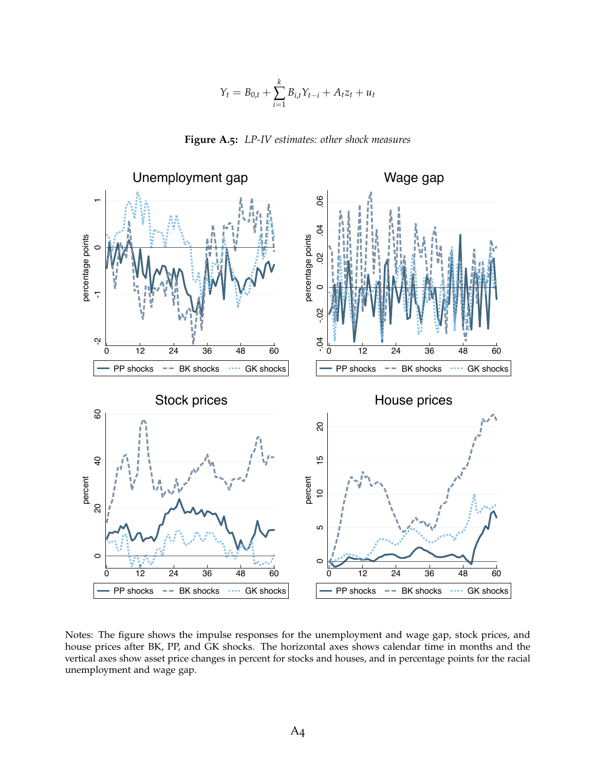$$
Y_t = B_{0,t} + \sum_{i=1}^{k} B_{i,t} Y_{t-i} + A_t z_t + u_t
$$

**Figure A.5:** *LP-IV estimates: other shock measures*

<span id="page-49-1"></span><span id="page-49-0"></span>

Notes: The figure shows the impulse responses for the unemployment and wage gap, stock prices, and house prices after BK, PP, and GK shocks. The horizontal axes shows calendar time in months and the vertical axes show asset price changes in percent for stocks and houses, and in percentage points for the racial unemployment and wage gap.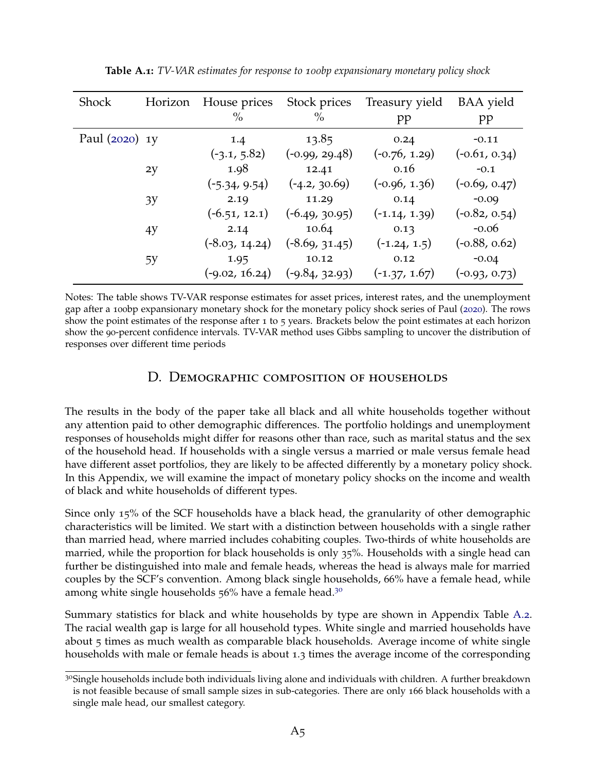<span id="page-50-0"></span>

| <b>Shock</b>   | Horizon | House prices<br>$\%$ | Stock prices<br>$\frac{0}{0}$ | Treasury yield<br>pp | <b>BAA</b> yield<br>pp |
|----------------|---------|----------------------|-------------------------------|----------------------|------------------------|
| Paul (2020) 1y |         | 1.4                  | 13.85                         | 0.24                 | $-0.11$                |
|                |         | $(-3.1, 5.82)$       | (-0.99, 29.48)                | $(-0.76, 1.29)$      | $(-0.61, 0.34)$        |
|                | 2y      | 1.98                 | 12.41                         | 0.16                 | $-0.1$                 |
|                |         | $(-5.34, 9.54)$      | $(-4.2, 30.69)$               | $(-0.96, 1.36)$      | $(-0.69, 0.47)$        |
|                | 3y      | 2.19                 | 11.29                         | 0.14                 | $-0.09$                |
|                |         | $(-6.51, 12.1)$      | $(-6.49, 30.95)$              | $(-1.14, 1.39)$      | $(-0.82, 0.54)$        |
|                | 4y      | 2.14                 | 10.64                         | 0.13                 | $-0.06$                |
|                |         | $(-8.03, 14.24)$     | $(-8.69, 31.45)$              | $(-1.24, 1.5)$       | $(-0.88, 0.62)$        |
|                | 5У      | 1.95                 | 10.12                         | 0.12                 | $-0.04$                |
|                |         | $(-9.02, 16.24)$     | (-9.84, 32.93)                | $(-1.37, 1.67)$      | $(-0.93, 0.73)$        |

**Table A.1:** *TV-VAR estimates for response to 100bp expansionary monetary policy shock*

Notes: The table shows TV-VAR response estimates for asset prices, interest rates, and the unemployment gap after a 100bp expansionary monetary shock for the monetary policy shock series of Paul ([2020](#page-44-2)). The rows show the point estimates of the response after 1 to 5 years. Brackets below the point estimates at each horizon show the 90-percent confidence intervals. TV-VAR method uses Gibbs sampling to uncover the distribution of responses over different time periods

#### D. Demographic composition of households

The results in the body of the paper take all black and all white households together without any attention paid to other demographic differences. The portfolio holdings and unemployment responses of households might differ for reasons other than race, such as marital status and the sex of the household head. If households with a single versus a married or male versus female head have different asset portfolios, they are likely to be affected differently by a monetary policy shock. In this Appendix, we will examine the impact of monetary policy shocks on the income and wealth of black and white households of different types.

Since only 15% of the SCF households have a black head, the granularity of other demographic characteristics will be limited. We start with a distinction between households with a single rather than married head, where married includes cohabiting couples. Two-thirds of white households are married, while the proportion for black households is only 35%. Households with a single head can further be distinguished into male and female heads, whereas the head is always male for married couples by the SCF's convention. Among black single households, 66% have a female head, while among white single households 56% have a female head.<sup>[30](#page-2-0)</sup>

Summary statistics for black and white households by type are shown in Appendix Table [A.](#page-51-0)2. The racial wealth gap is large for all household types. White single and married households have about 5 times as much wealth as comparable black households. Average income of white single households with male or female heads is about 1.3 times the average income of the corresponding

 $3^{\circ}$ Single households include both individuals living alone and individuals with children. A further breakdown is not feasible because of small sample sizes in sub-categories. There are only 166 black households with a single male head, our smallest category.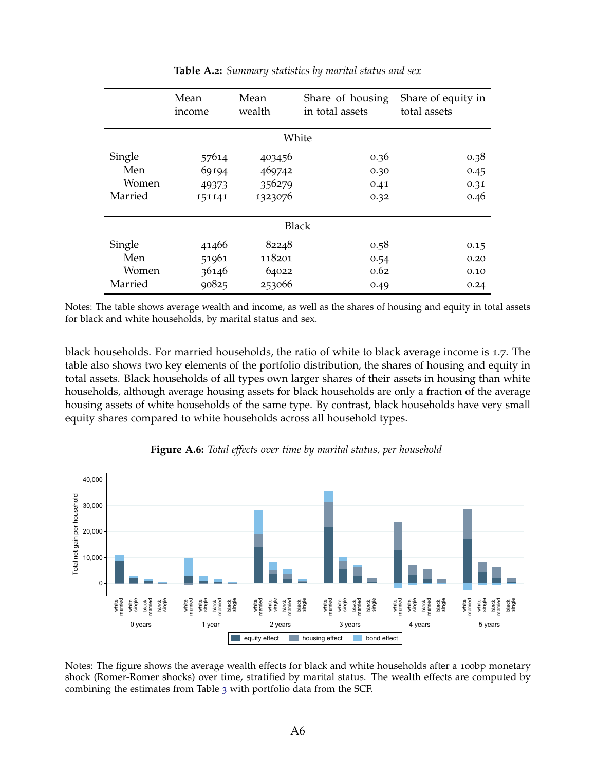<span id="page-51-0"></span>

|              | Mean<br>income | Mean<br>wealth | Share of housing<br>in total assets | Share of equity in<br>total assets |
|--------------|----------------|----------------|-------------------------------------|------------------------------------|
|              |                |                | White                               |                                    |
| Single       | 57614          | 403456         | 0.36                                | 0.38                               |
| Men          | 69194          | 469742         | 0.30                                | 0.45                               |
| <i>Women</i> | 49373          | 356279         | 0.41                                | 0.31                               |
| Married      | 151141         | 1323076        | 0.32                                | 0.46                               |
|              |                |                | <b>Black</b>                        |                                    |
| Single       | 41466          | 82248          | 0.58                                | 0.15                               |
| Men          | 51961          | 118201         | 0.54                                | 0.20                               |
| Women        | 36146          | 64022          | 0.62                                | 0.10                               |
| Married      | 90825          | 253066         | 0.49                                | 0.24                               |

#### **Table A.2:** *Summary statistics by marital status and sex*

Notes: The table shows average wealth and income, as well as the shares of housing and equity in total assets for black and white households, by marital status and sex.

black households. For married households, the ratio of white to black average income is 1.7. The table also shows two key elements of the portfolio distribution, the shares of housing and equity in total assets. Black households of all types own larger shares of their assets in housing than white households, although average housing assets for black households are only a fraction of the average housing assets of white households of the same type. By contrast, black households have very small equity shares compared to white households across all household types.

<span id="page-51-1"></span>

#### **Figure A.6:** *Total effects over time by marital status, per household*

Notes: The figure shows the average wealth effects for black and white households after a 100bp monetary shock (Romer-Romer shocks) over time, stratified by marital status. The wealth effects are computed by combining the estimates from Table [3](#page-25-0) with portfolio data from the SCF.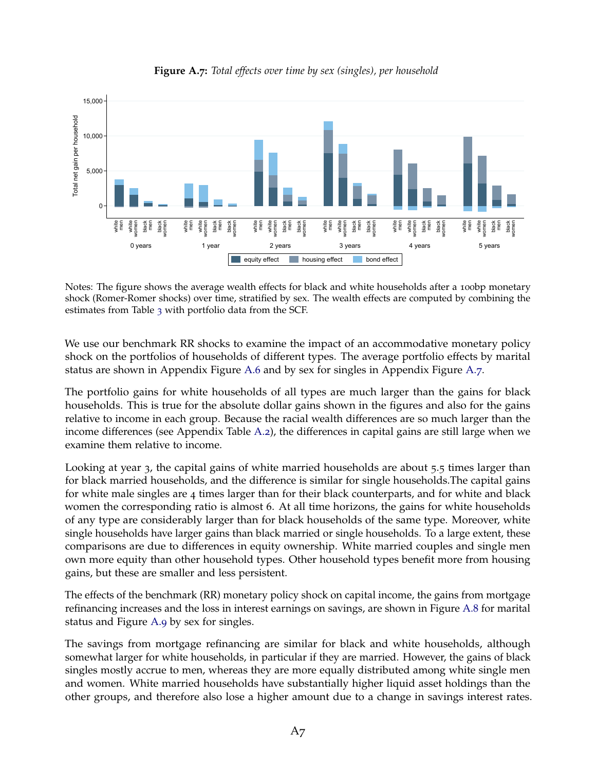<span id="page-52-0"></span>

**Figure A.7:** *Total effects over time by sex (singles), per household*

Notes: The figure shows the average wealth effects for black and white households after a 100bp monetary shock (Romer-Romer shocks) over time, stratified by sex. The wealth effects are computed by combining the estimates from Table [3](#page-25-0) with portfolio data from the SCF.

We use our benchmark RR shocks to examine the impact of an accommodative monetary policy shock on the portfolios of households of different types. The average portfolio effects by marital status are shown in Appendix Figure [A.](#page-51-1)6 and by sex for singles in Appendix Figure [A.](#page-52-0)7.

The portfolio gains for white households of all types are much larger than the gains for black households. This is true for the absolute dollar gains shown in the figures and also for the gains relative to income in each group. Because the racial wealth differences are so much larger than the income differences (see Appendix Table [A.](#page-51-0)2), the differences in capital gains are still large when we examine them relative to income.

Looking at year 3, the capital gains of white married households are about 5.5 times larger than for black married households, and the difference is similar for single households.The capital gains for white male singles are 4 times larger than for their black counterparts, and for white and black women the corresponding ratio is almost 6. At all time horizons, the gains for white households of any type are considerably larger than for black households of the same type. Moreover, white single households have larger gains than black married or single households. To a large extent, these comparisons are due to differences in equity ownership. White married couples and single men own more equity than other household types. Other household types benefit more from housing gains, but these are smaller and less persistent.

The effects of the benchmark (RR) monetary policy shock on capital income, the gains from mortgage refinancing increases and the loss in interest earnings on savings, are shown in Figure [A.](#page-53-0)8 for marital status and Figure [A.](#page-54-1)9 by sex for singles.

The savings from mortgage refinancing are similar for black and white households, although somewhat larger for white households, in particular if they are married. However, the gains of black singles mostly accrue to men, whereas they are more equally distributed among white single men and women. White married households have substantially higher liquid asset holdings than the other groups, and therefore also lose a higher amount due to a change in savings interest rates.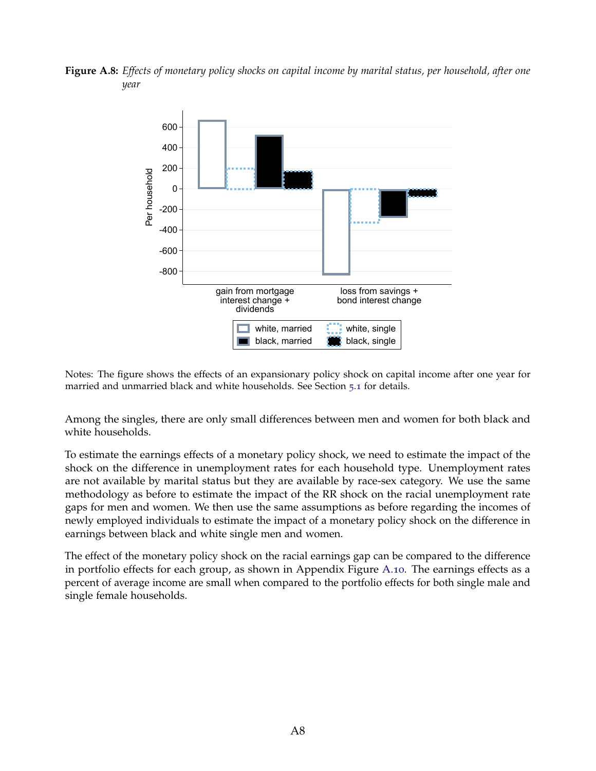<span id="page-53-0"></span>**Figure A.8:** *Effects of monetary policy shocks on capital income by marital status, per household, after one year*



Notes: The figure shows the effects of an expansionary policy shock on capital income after one year for married and unmarried black and white households. See Section [5](#page-27-1).1 for details.

Among the singles, there are only small differences between men and women for both black and white households.

To estimate the earnings effects of a monetary policy shock, we need to estimate the impact of the shock on the difference in unemployment rates for each household type. Unemployment rates are not available by marital status but they are available by race-sex category. We use the same methodology as before to estimate the impact of the RR shock on the racial unemployment rate gaps for men and women. We then use the same assumptions as before regarding the incomes of newly employed individuals to estimate the impact of a monetary policy shock on the difference in earnings between black and white single men and women.

The effect of the monetary policy shock on the racial earnings gap can be compared to the difference in portfolio effects for each group, as shown in Appendix Figure [A.](#page-54-0)10. The earnings effects as a percent of average income are small when compared to the portfolio effects for both single male and single female households.